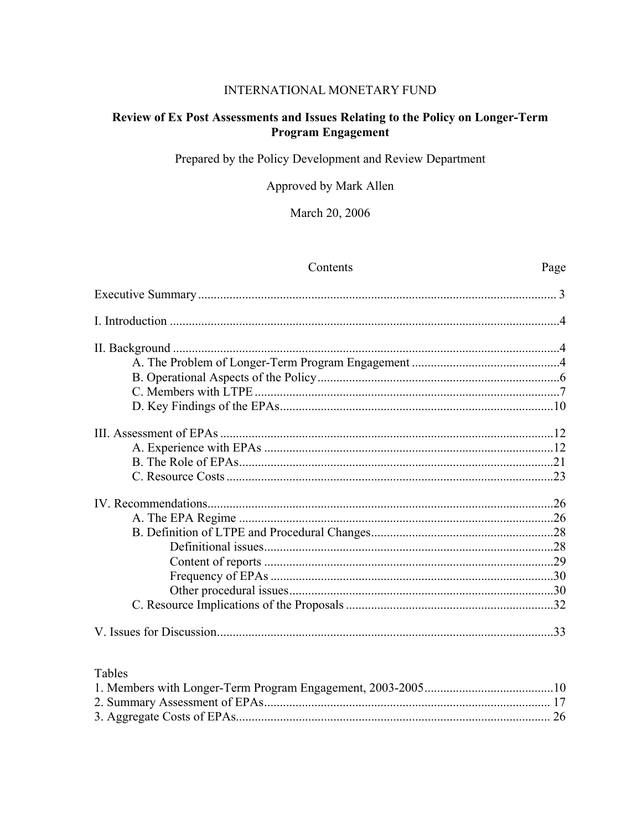#### INTERNATIONAL MONETARY FUND

# Review of Ex Post Assessments and Issues Relating to the Policy on Longer-Term **Program Engagement**

Prepared by the Policy Development and Review Department

Approved by Mark Allen

March 20, 2006

| Contents | Page |
|----------|------|
|          |      |
|          |      |
|          |      |
|          |      |
|          |      |
|          |      |
|          |      |
|          |      |
|          |      |
|          |      |
|          |      |
|          |      |
|          |      |
|          |      |
|          |      |
|          |      |
|          |      |
|          |      |
|          |      |
|          |      |

# Tables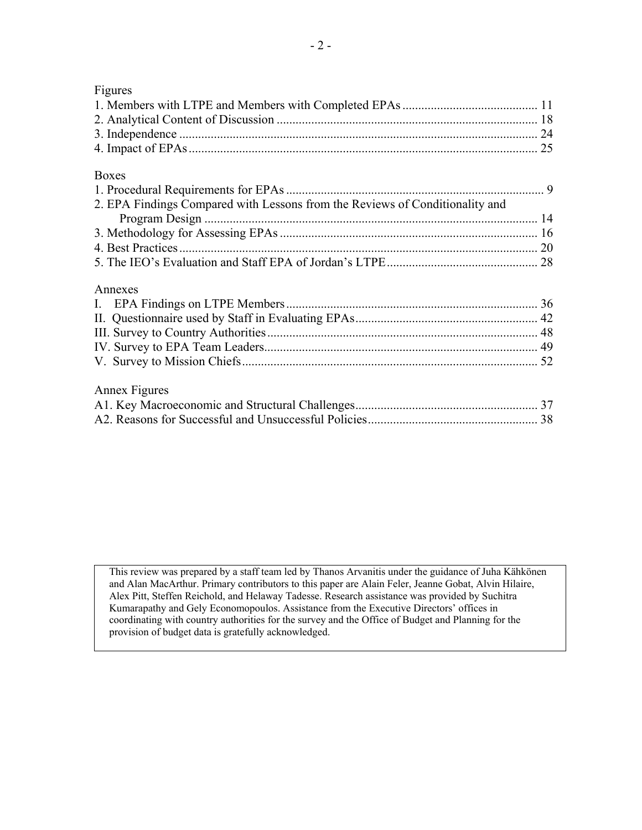| Figures                                                                      |  |
|------------------------------------------------------------------------------|--|
|                                                                              |  |
|                                                                              |  |
|                                                                              |  |
|                                                                              |  |
| <b>Boxes</b>                                                                 |  |
|                                                                              |  |
| 2. EPA Findings Compared with Lessons from the Reviews of Conditionality and |  |
|                                                                              |  |
|                                                                              |  |
|                                                                              |  |
|                                                                              |  |
| Annexes                                                                      |  |
|                                                                              |  |
|                                                                              |  |
|                                                                              |  |
|                                                                              |  |
|                                                                              |  |
|                                                                              |  |
| Annex Figures                                                                |  |
|                                                                              |  |
|                                                                              |  |

 This review was prepared by a staff team led by Thanos Arvanitis under the guidance of Juha Kähkönen and Alan MacArthur. Primary contributors to this paper are Alain Feler, Jeanne Gobat, Alvin Hilaire, Alex Pitt, Steffen Reichold, and Helaway Tadesse. Research assistance was provided by Suchitra Kumarapathy and Gely Economopoulos. Assistance from the Executive Directors' offices in coordinating with country authorities for the survey and the Office of Budget and Planning for the provision of budget data is gratefully acknowledged.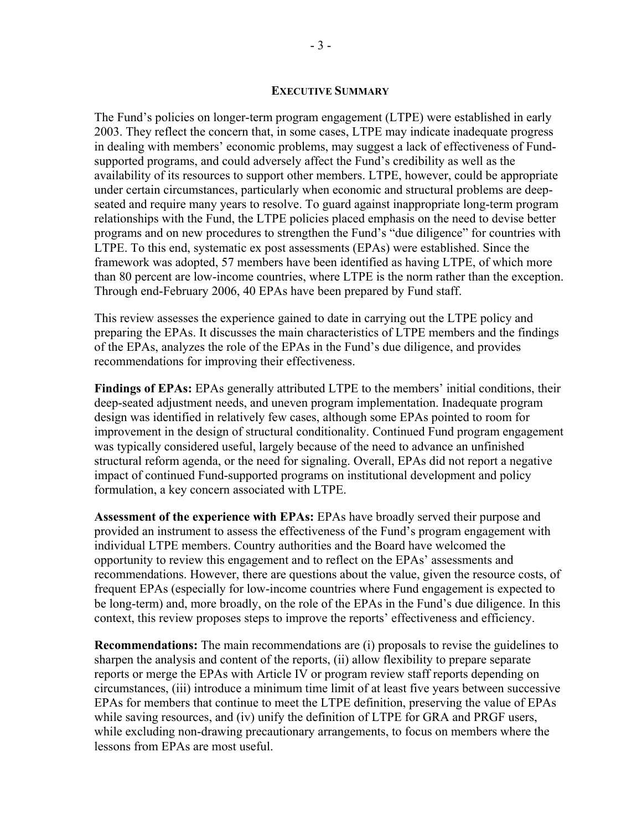#### **EXECUTIVE SUMMARY**

The Fund's policies on longer-term program engagement (LTPE) were established in early 2003. They reflect the concern that, in some cases, LTPE may indicate inadequate progress in dealing with members' economic problems, may suggest a lack of effectiveness of Fundsupported programs, and could adversely affect the Fund's credibility as well as the availability of its resources to support other members. LTPE, however, could be appropriate under certain circumstances, particularly when economic and structural problems are deepseated and require many years to resolve. To guard against inappropriate long-term program relationships with the Fund, the LTPE policies placed emphasis on the need to devise better programs and on new procedures to strengthen the Fund's "due diligence" for countries with LTPE. To this end, systematic ex post assessments (EPAs) were established. Since the framework was adopted, 57 members have been identified as having LTPE, of which more than 80 percent are low-income countries, where LTPE is the norm rather than the exception. Through end-February 2006, 40 EPAs have been prepared by Fund staff.

This review assesses the experience gained to date in carrying out the LTPE policy and preparing the EPAs. It discusses the main characteristics of LTPE members and the findings of the EPAs, analyzes the role of the EPAs in the Fund's due diligence, and provides recommendations for improving their effectiveness.

**Findings of EPAs:** EPAs generally attributed LTPE to the members' initial conditions, their deep-seated adjustment needs, and uneven program implementation. Inadequate program design was identified in relatively few cases, although some EPAs pointed to room for improvement in the design of structural conditionality. Continued Fund program engagement was typically considered useful, largely because of the need to advance an unfinished structural reform agenda, or the need for signaling. Overall, EPAs did not report a negative impact of continued Fund-supported programs on institutional development and policy formulation, a key concern associated with LTPE.

**Assessment of the experience with EPAs:** EPAs have broadly served their purpose and provided an instrument to assess the effectiveness of the Fund's program engagement with individual LTPE members. Country authorities and the Board have welcomed the opportunity to review this engagement and to reflect on the EPAs' assessments and recommendations. However, there are questions about the value, given the resource costs, of frequent EPAs (especially for low-income countries where Fund engagement is expected to be long-term) and, more broadly, on the role of the EPAs in the Fund's due diligence. In this context, this review proposes steps to improve the reports' effectiveness and efficiency.

**Recommendations:** The main recommendations are (i) proposals to revise the guidelines to sharpen the analysis and content of the reports, (ii) allow flexibility to prepare separate reports or merge the EPAs with Article IV or program review staff reports depending on circumstances, (iii) introduce a minimum time limit of at least five years between successive EPAs for members that continue to meet the LTPE definition, preserving the value of EPAs while saving resources, and (iv) unify the definition of LTPE for GRA and PRGF users, while excluding non-drawing precautionary arrangements, to focus on members where the lessons from EPAs are most useful.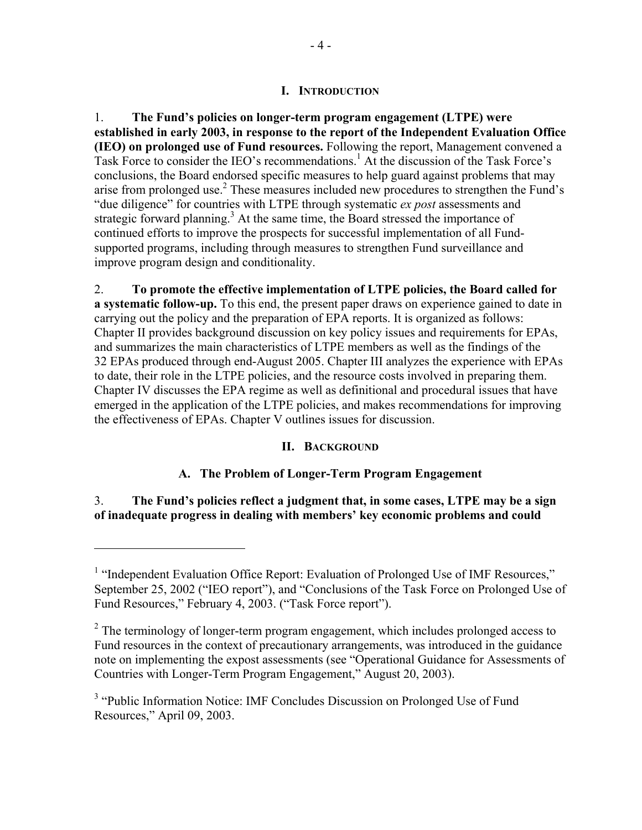#### **I. INTRODUCTION**

1. **The Fund's policies on longer-term program engagement (LTPE) were established in early 2003, in response to the report of the Independent Evaluation Office (IEO) on prolonged use of Fund resources.** Following the report, Management convened a Task Force to consider the IEO's recommendations.<sup>1</sup> At the discussion of the Task Force's conclusions, the Board endorsed specific measures to help guard against problems that may arise from prolonged use.<sup>2</sup> These measures included new procedures to strengthen the Fund's "due diligence" for countries with LTPE through systematic *ex post* assessments and strategic forward planning.<sup>3</sup> At the same time, the Board stressed the importance of continued efforts to improve the prospects for successful implementation of all Fundsupported programs, including through measures to strengthen Fund surveillance and improve program design and conditionality.

2. **To promote the effective implementation of LTPE policies, the Board called for a systematic follow-up.** To this end, the present paper draws on experience gained to date in carrying out the policy and the preparation of EPA reports. It is organized as follows: Chapter II provides background discussion on key policy issues and requirements for EPAs, and summarizes the main characteristics of LTPE members as well as the findings of the 32 EPAs produced through end-August 2005. Chapter III analyzes the experience with EPAs to date, their role in the LTPE policies, and the resource costs involved in preparing them. Chapter IV discusses the EPA regime as well as definitional and procedural issues that have emerged in the application of the LTPE policies, and makes recommendations for improving the effectiveness of EPAs. Chapter V outlines issues for discussion.

#### **II. BACKGROUND**

#### **A. The Problem of Longer-Term Program Engagement**

3. **The Fund's policies reflect a judgment that, in some cases, LTPE may be a sign of inadequate progress in dealing with members' key economic problems and could** 

<sup>&</sup>lt;sup>1</sup> "Independent Evaluation Office Report: Evaluation of Prolonged Use of IMF Resources," September 25, 2002 ("IEO report"), and "Conclusions of the Task Force on Prolonged Use of Fund Resources," February 4, 2003. ("Task Force report").

 $2<sup>2</sup>$  The terminology of longer-term program engagement, which includes prolonged access to Fund resources in the context of precautionary arrangements, was introduced in the guidance note on implementing the expost assessments (see "Operational Guidance for Assessments of Countries with Longer-Term Program Engagement," August 20, 2003).

<sup>&</sup>lt;sup>3</sup> "Public Information Notice: IMF Concludes Discussion on Prolonged Use of Fund Resources," April 09, 2003.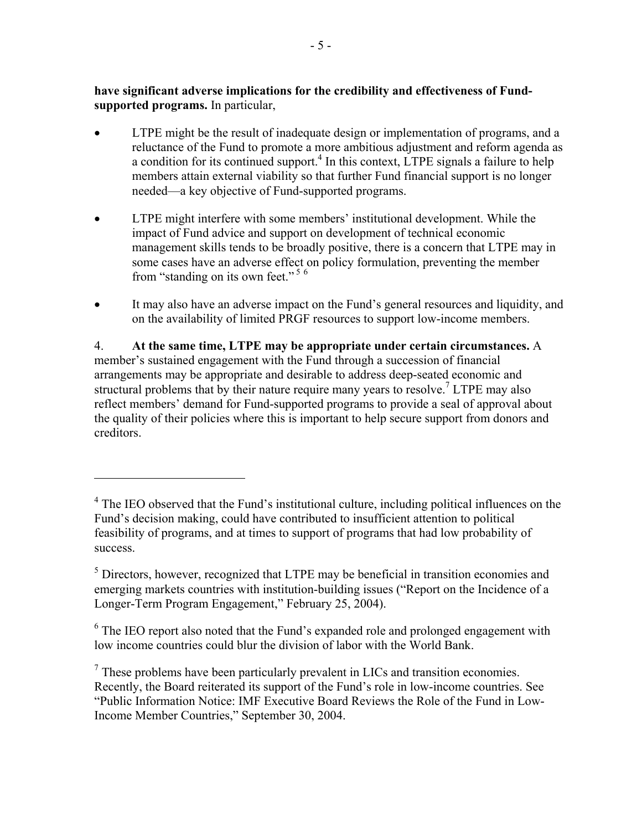**have significant adverse implications for the credibility and effectiveness of Fundsupported programs.** In particular,

- LTPE might be the result of inadequate design or implementation of programs, and a reluctance of the Fund to promote a more ambitious adjustment and reform agenda as a condition for its continued support.<sup>4</sup> In this context, LTPE signals a failure to help members attain external viability so that further Fund financial support is no longer needed—a key objective of Fund-supported programs.
- LTPE might interfere with some members' institutional development. While the impact of Fund advice and support on development of technical economic management skills tends to be broadly positive, there is a concern that LTPE may in some cases have an adverse effect on policy formulation, preventing the member from "standing on its own feet."<sup>56</sup>
- It may also have an adverse impact on the Fund's general resources and liquidity, and on the availability of limited PRGF resources to support low-income members.

4. **At the same time, LTPE may be appropriate under certain circumstances.** A member's sustained engagement with the Fund through a succession of financial arrangements may be appropriate and desirable to address deep-seated economic and structural problems that by their nature require many years to resolve.<sup>7</sup> LTPE may also reflect members' demand for Fund-supported programs to provide a seal of approval about the quality of their policies where this is important to help secure support from donors and creditors.

 $\overline{a}$ 

 $6$  The IEO report also noted that the Fund's expanded role and prolonged engagement with low income countries could blur the division of labor with the World Bank.

<sup>&</sup>lt;sup>4</sup> The IEO observed that the Fund's institutional culture, including political influences on the Fund's decision making, could have contributed to insufficient attention to political feasibility of programs, and at times to support of programs that had low probability of success.

 $<sup>5</sup>$  Directors, however, recognized that LTPE may be beneficial in transition economies and</sup> emerging markets countries with institution-building issues ("Report on the Incidence of a Longer-Term Program Engagement," February 25, 2004).

 $<sup>7</sup>$  These problems have been particularly prevalent in LICs and transition economies.</sup> Recently, the Board reiterated its support of the Fund's role in low-income countries. See "Public Information Notice: IMF Executive Board Reviews the Role of the Fund in Low-Income Member Countries," September 30, 2004.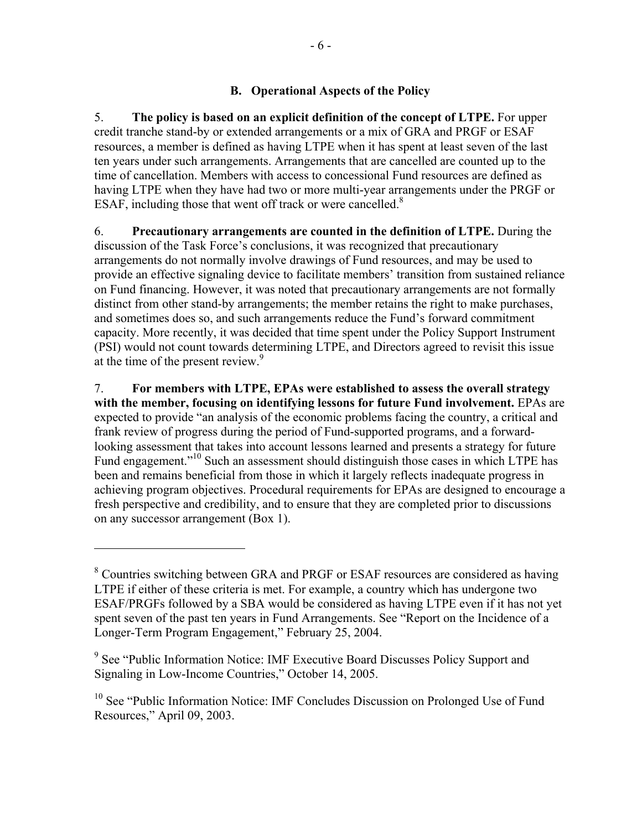# **B. Operational Aspects of the Policy**

5. **The policy is based on an explicit definition of the concept of LTPE.** For upper credit tranche stand-by or extended arrangements or a mix of GRA and PRGF or ESAF resources, a member is defined as having LTPE when it has spent at least seven of the last ten years under such arrangements. Arrangements that are cancelled are counted up to the time of cancellation. Members with access to concessional Fund resources are defined as having LTPE when they have had two or more multi-year arrangements under the PRGF or ESAF, including those that went off track or were cancelled. $8$ 

6. **Precautionary arrangements are counted in the definition of LTPE.** During the discussion of the Task Force's conclusions, it was recognized that precautionary arrangements do not normally involve drawings of Fund resources, and may be used to provide an effective signaling device to facilitate members' transition from sustained reliance on Fund financing. However, it was noted that precautionary arrangements are not formally distinct from other stand-by arrangements; the member retains the right to make purchases, and sometimes does so, and such arrangements reduce the Fund's forward commitment capacity. More recently, it was decided that time spent under the Policy Support Instrument (PSI) would not count towards determining LTPE, and Directors agreed to revisit this issue at the time of the present review.<sup>9</sup>

7. **For members with LTPE, EPAs were established to assess the overall strategy with the member, focusing on identifying lessons for future Fund involvement.** EPAs are expected to provide "an analysis of the economic problems facing the country, a critical and frank review of progress during the period of Fund-supported programs, and a forwardlooking assessment that takes into account lessons learned and presents a strategy for future Fund engagement."<sup>10</sup> Such an assessment should distinguish those cases in which LTPE has been and remains beneficial from those in which it largely reflects inadequate progress in achieving program objectives. Procedural requirements for EPAs are designed to encourage a fresh perspective and credibility, and to ensure that they are completed prior to discussions on any successor arrangement (Box 1).

<sup>&</sup>lt;sup>8</sup> Countries switching between GRA and PRGF or ESAF resources are considered as having LTPE if either of these criteria is met. For example, a country which has undergone two ESAF/PRGFs followed by a SBA would be considered as having LTPE even if it has not yet spent seven of the past ten years in Fund Arrangements. See "Report on the Incidence of a Longer-Term Program Engagement," February 25, 2004.

<sup>&</sup>lt;sup>9</sup> See "Public Information Notice: IMF Executive Board Discusses Policy Support and Signaling in Low-Income Countries," October 14, 2005.

<sup>&</sup>lt;sup>10</sup> See "Public Information Notice: IMF Concludes Discussion on Prolonged Use of Fund Resources," April 09, 2003.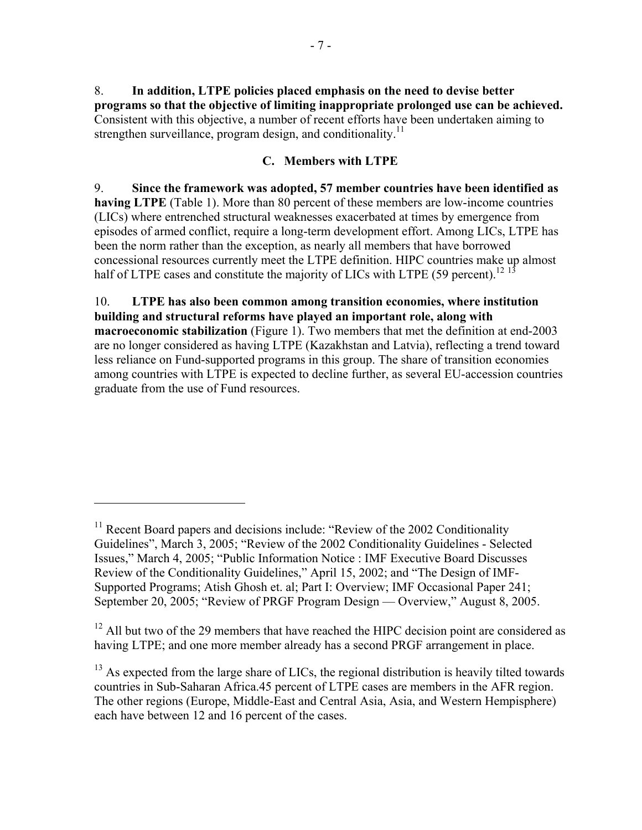8. **In addition, LTPE policies placed emphasis on the need to devise better programs so that the objective of limiting inappropriate prolonged use can be achieved.** Consistent with this objective, a number of recent efforts have been undertaken aiming to strengthen surveillance, program design, and conditionality.<sup>11</sup>

# **C. Members with LTPE**

9. **Since the framework was adopted, 57 member countries have been identified as having LTPE** (Table 1). More than 80 percent of these members are low-income countries (LICs) where entrenched structural weaknesses exacerbated at times by emergence from episodes of armed conflict, require a long-term development effort. Among LICs, LTPE has been the norm rather than the exception, as nearly all members that have borrowed concessional resources currently meet the LTPE definition. HIPC countries make up almost half of LTPE cases and constitute the majority of LICs with LTPE (59 percent).<sup>12</sup><sup>13</sup>

10. **LTPE has also been common among transition economies, where institution building and structural reforms have played an important role, along with macroeconomic stabilization** (Figure 1). Two members that met the definition at end-2003 are no longer considered as having LTPE (Kazakhstan and Latvia), reflecting a trend toward less reliance on Fund-supported programs in this group. The share of transition economies among countries with LTPE is expected to decline further, as several EU-accession countries graduate from the use of Fund resources.

1

 $11$  Recent Board papers and decisions include: "Review of the 2002 Conditionality Guidelines", March 3, 2005; "Review of the 2002 Conditionality Guidelines - Selected Issues," March 4, 2005; "Public Information Notice : IMF Executive Board Discusses Review of the Conditionality Guidelines," April 15, 2002; and "The Design of IMF-Supported Programs; Atish Ghosh et. al; Part I: Overview; IMF Occasional Paper 241; September 20, 2005; "Review of PRGF Program Design — Overview," August 8, 2005.

 $12$  All but two of the 29 members that have reached the HIPC decision point are considered as having LTPE; and one more member already has a second PRGF arrangement in place.

<sup>&</sup>lt;sup>13</sup> As expected from the large share of LICs, the regional distribution is heavily tilted towards countries in Sub-Saharan Africa.45 percent of LTPE cases are members in the AFR region. The other regions (Europe, Middle-East and Central Asia, Asia, and Western Hempisphere) each have between 12 and 16 percent of the cases.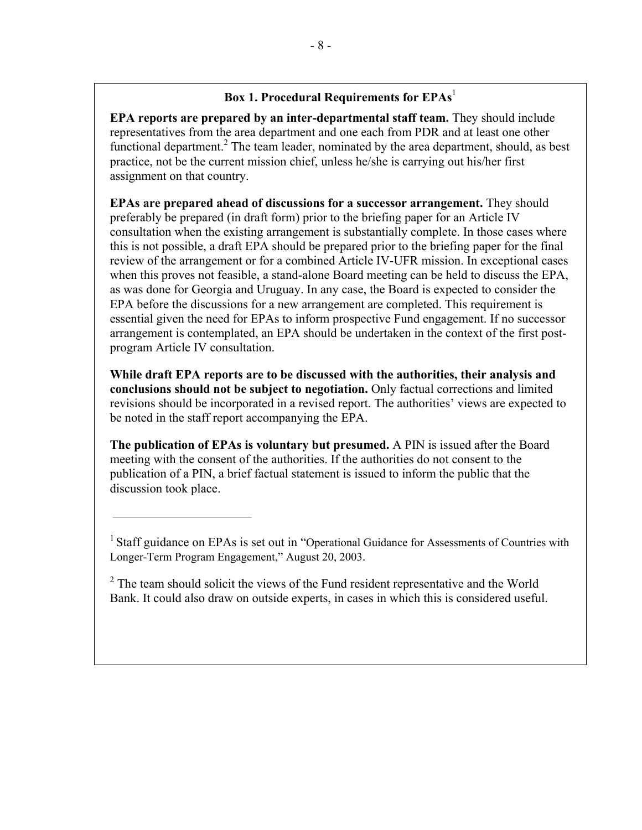# **Box 1. Procedural Requirements for EPAs**<sup>1</sup>

**EPA reports are prepared by an inter-departmental staff team.** They should include representatives from the area department and one each from PDR and at least one other functional department.<sup>2</sup> The team leader, nominated by the area department, should, as best practice, not be the current mission chief, unless he/she is carrying out his/her first assignment on that country.

**EPAs are prepared ahead of discussions for a successor arrangement.** They should preferably be prepared (in draft form) prior to the briefing paper for an Article IV consultation when the existing arrangement is substantially complete. In those cases where this is not possible, a draft EPA should be prepared prior to the briefing paper for the final review of the arrangement or for a combined Article IV-UFR mission. In exceptional cases when this proves not feasible, a stand-alone Board meeting can be held to discuss the EPA, as was done for Georgia and Uruguay. In any case, the Board is expected to consider the EPA before the discussions for a new arrangement are completed. This requirement is essential given the need for EPAs to inform prospective Fund engagement. If no successor arrangement is contemplated, an EPA should be undertaken in the context of the first postprogram Article IV consultation.

**While draft EPA reports are to be discussed with the authorities, their analysis and conclusions should not be subject to negotiation.** Only factual corrections and limited revisions should be incorporated in a revised report. The authorities' views are expected to be noted in the staff report accompanying the EPA.

**The publication of EPAs is voluntary but presumed.** A PIN is issued after the Board meeting with the consent of the authorities. If the authorities do not consent to the publication of a PIN, a brief factual statement is issued to inform the public that the discussion took place.

<sup>&</sup>lt;sup>1</sup> Staff guidance on EPAs is set out in "Operational Guidance for Assessments of Countries with Longer-Term Program Engagement," August 20, 2003.

 $2^2$  The team should solicit the views of the Fund resident representative and the World Bank. It could also draw on outside experts, in cases in which this is considered useful.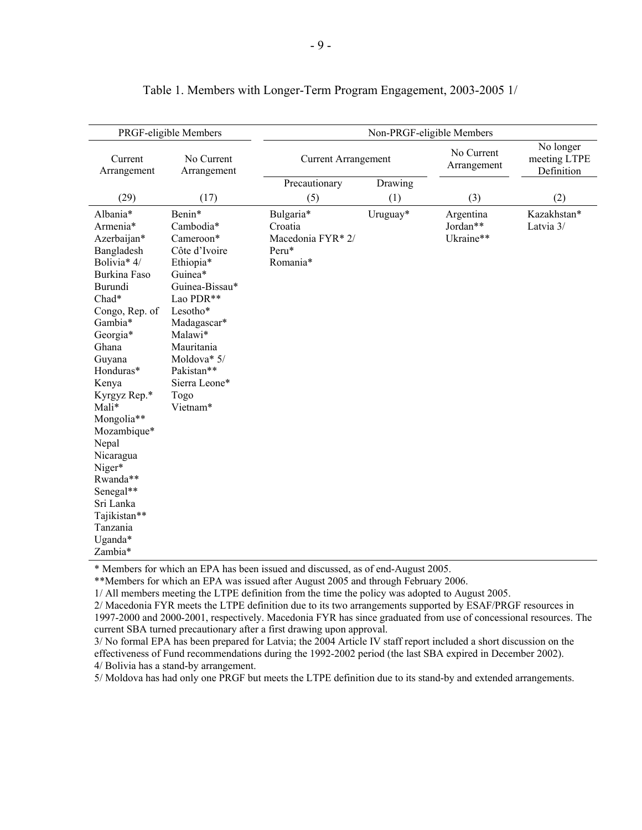|                                                                                                                                                                                                                                                                                                                                                                      | PRGF-eligible Members                                                                                                                                                                                                          | Non-PRGF-eligible Members                                      |          |                                    |                                         |
|----------------------------------------------------------------------------------------------------------------------------------------------------------------------------------------------------------------------------------------------------------------------------------------------------------------------------------------------------------------------|--------------------------------------------------------------------------------------------------------------------------------------------------------------------------------------------------------------------------------|----------------------------------------------------------------|----------|------------------------------------|-----------------------------------------|
| Current<br>Arrangement                                                                                                                                                                                                                                                                                                                                               | No Current<br>Arrangement                                                                                                                                                                                                      | <b>Current Arrangement</b>                                     |          | No Current<br>Arrangement          | No longer<br>meeting LTPE<br>Definition |
|                                                                                                                                                                                                                                                                                                                                                                      |                                                                                                                                                                                                                                | Precautionary                                                  | Drawing  |                                    |                                         |
| (29)                                                                                                                                                                                                                                                                                                                                                                 | (17)                                                                                                                                                                                                                           | (5)                                                            | (1)      | (3)                                | (2)                                     |
| Albania*<br>Armenia*<br>Azerbaijan*<br>Bangladesh<br>Bolivia* 4/<br>Burkina Faso<br>Burundi<br>Chad*<br>Congo, Rep. of<br>Gambia*<br>Georgia*<br>Ghana<br>Guyana<br>Honduras*<br>Kenya<br>Kyrgyz Rep.*<br>Mali*<br>Mongolia**<br>Mozambique*<br>Nepal<br>Nicaragua<br>Niger*<br>Rwanda**<br>Senegal**<br>Sri Lanka<br>Tajikistan**<br>Tanzania<br>Uganda*<br>Zambia* | Benin*<br>Cambodia*<br>Cameroon*<br>Côte d'Ivoire<br>Ethiopia*<br>Guinea*<br>Guinea-Bissau*<br>Lao PDR**<br>Lesotho*<br>Madagascar*<br>Malawi*<br>Mauritania<br>Moldova* 5/<br>Pakistan**<br>Sierra Leone*<br>Togo<br>Vietnam* | Bulgaria*<br>Croatia<br>Macedonia FYR* 2/<br>Peru*<br>Romania* | Uruguay* | Argentina<br>Jordan**<br>Ukraine** | Kazakhstan*<br>Latvia 3/                |

#### Table 1. Members with Longer-Term Program Engagement, 2003-2005 1/

\* Members for which an EPA has been issued and discussed, as of end-August 2005.

\*\*Members for which an EPA was issued after August 2005 and through February 2006.

1/ All members meeting the LTPE definition from the time the policy was adopted to August 2005.

2/ Macedonia FYR meets the LTPE definition due to its two arrangements supported by ESAF/PRGF resources in 1997-2000 and 2000-2001, respectively. Macedonia FYR has since graduated from use of concessional resources. The current SBA turned precautionary after a first drawing upon approval.

3/ No formal EPA has been prepared for Latvia; the 2004 Article IV staff report included a short discussion on the effectiveness of Fund recommendations during the 1992-2002 period (the last SBA expired in December 2002). 4/ Bolivia has a stand-by arrangement.

5/ Moldova has had only one PRGF but meets the LTPE definition due to its stand-by and extended arrangements.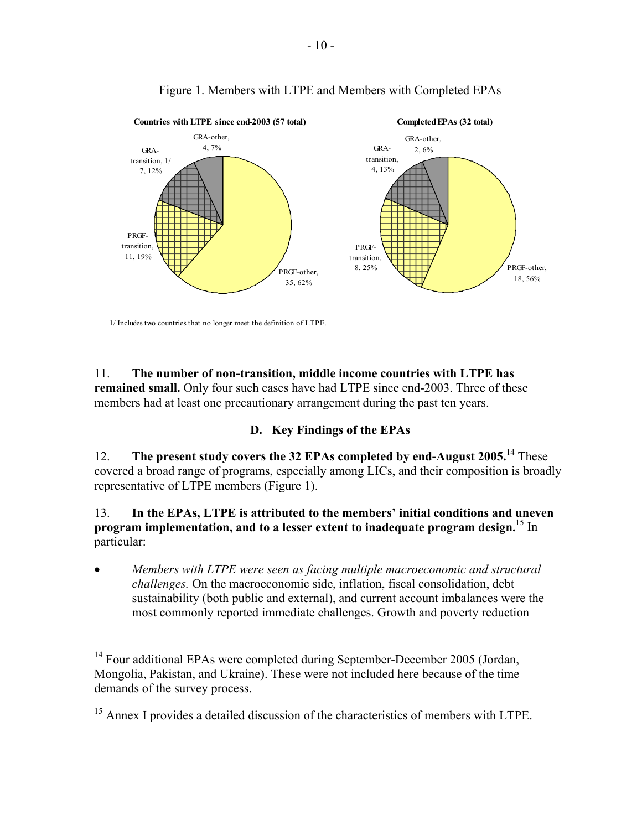

# Figure 1. Members with LTPE and Members with Completed EPAs

1/ Includes two countries that no longer meet the definition of LTPE.

<u>.</u>

11. **The number of non-transition, middle income countries with LTPE has remained small.** Only four such cases have had LTPE since end-2003. Three of these members had at least one precautionary arrangement during the past ten years.

#### **D. Key Findings of the EPAs**

12. **The present study covers the 32 EPAs completed by end-August 2005.**14 These covered a broad range of programs, especially among LICs, and their composition is broadly representative of LTPE members (Figure 1).

13. **In the EPAs, LTPE is attributed to the members' initial conditions and uneven program implementation, and to a lesser extent to inadequate program design.**15 In particular:

• *Members with LTPE were seen as facing multiple macroeconomic and structural challenges.* On the macroeconomic side, inflation, fiscal consolidation, debt sustainability (both public and external), and current account imbalances were the most commonly reported immediate challenges. Growth and poverty reduction

<sup>&</sup>lt;sup>14</sup> Four additional EPAs were completed during September-December 2005 (Jordan, Mongolia, Pakistan, and Ukraine). These were not included here because of the time demands of the survey process.

<sup>&</sup>lt;sup>15</sup> Annex I provides a detailed discussion of the characteristics of members with LTPE.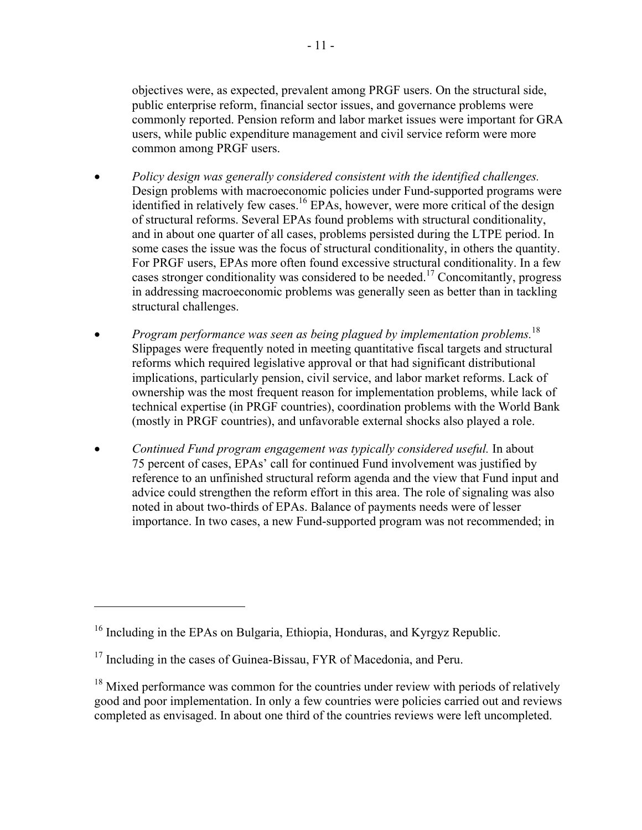objectives were, as expected, prevalent among PRGF users. On the structural side, public enterprise reform, financial sector issues, and governance problems were commonly reported. Pension reform and labor market issues were important for GRA users, while public expenditure management and civil service reform were more common among PRGF users.

- *Policy design was generally considered consistent with the identified challenges.* Design problems with macroeconomic policies under Fund-supported programs were identified in relatively few cases.<sup>16</sup> EPAs, however, were more critical of the design of structural reforms. Several EPAs found problems with structural conditionality, and in about one quarter of all cases, problems persisted during the LTPE period. In some cases the issue was the focus of structural conditionality, in others the quantity. For PRGF users, EPAs more often found excessive structural conditionality. In a few cases stronger conditionality was considered to be needed.17 Concomitantly, progress in addressing macroeconomic problems was generally seen as better than in tackling structural challenges.
- *Program performance was seen as being plagued by implementation problems.*<sup>18</sup> Slippages were frequently noted in meeting quantitative fiscal targets and structural reforms which required legislative approval or that had significant distributional implications, particularly pension, civil service, and labor market reforms. Lack of ownership was the most frequent reason for implementation problems, while lack of technical expertise (in PRGF countries), coordination problems with the World Bank (mostly in PRGF countries), and unfavorable external shocks also played a role.
- *Continued Fund program engagement was typically considered useful.* In about 75 percent of cases, EPAs' call for continued Fund involvement was justified by reference to an unfinished structural reform agenda and the view that Fund input and advice could strengthen the reform effort in this area. The role of signaling was also noted in about two-thirds of EPAs. Balance of payments needs were of lesser importance. In two cases, a new Fund-supported program was not recommended; in

<sup>&</sup>lt;sup>16</sup> Including in the EPAs on Bulgaria, Ethiopia, Honduras, and Kyrgyz Republic.

<sup>&</sup>lt;sup>17</sup> Including in the cases of Guinea-Bissau, FYR of Macedonia, and Peru.

<sup>&</sup>lt;sup>18</sup> Mixed performance was common for the countries under review with periods of relatively good and poor implementation. In only a few countries were policies carried out and reviews completed as envisaged. In about one third of the countries reviews were left uncompleted.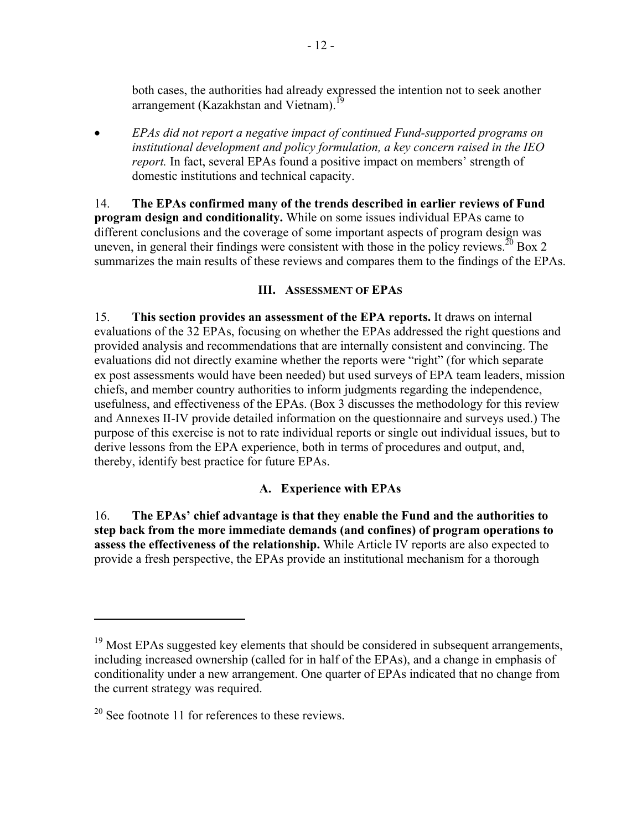both cases, the authorities had already expressed the intention not to seek another arrangement (Kazakhstan and Vietnam).<sup>1</sup>

• *EPAs did not report a negative impact of continued Fund-supported programs on institutional development and policy formulation, a key concern raised in the IEO report.* In fact, several EPAs found a positive impact on members' strength of domestic institutions and technical capacity.

14. **The EPAs confirmed many of the trends described in earlier reviews of Fund program design and conditionality.** While on some issues individual EPAs came to different conclusions and the coverage of some important aspects of program design was uneven, in general their findings were consistent with those in the policy reviews.<sup>20</sup> Box 2 summarizes the main results of these reviews and compares them to the findings of the EPAs.

## **III. ASSESSMENT OF EPAS**

15. **This section provides an assessment of the EPA reports.** It draws on internal evaluations of the 32 EPAs, focusing on whether the EPAs addressed the right questions and provided analysis and recommendations that are internally consistent and convincing. The evaluations did not directly examine whether the reports were "right" (for which separate ex post assessments would have been needed) but used surveys of EPA team leaders, mission chiefs, and member country authorities to inform judgments regarding the independence, usefulness, and effectiveness of the EPAs. (Box 3 discusses the methodology for this review and Annexes II-IV provide detailed information on the questionnaire and surveys used.) The purpose of this exercise is not to rate individual reports or single out individual issues, but to derive lessons from the EPA experience, both in terms of procedures and output, and, thereby, identify best practice for future EPAs.

# **A. Experience with EPAs**

16. **The EPAs' chief advantage is that they enable the Fund and the authorities to step back from the more immediate demands (and confines) of program operations to assess the effectiveness of the relationship.** While Article IV reports are also expected to provide a fresh perspective, the EPAs provide an institutional mechanism for a thorough

1

<sup>&</sup>lt;sup>19</sup> Most EPAs suggested key elements that should be considered in subsequent arrangements, including increased ownership (called for in half of the EPAs), and a change in emphasis of conditionality under a new arrangement. One quarter of EPAs indicated that no change from the current strategy was required.

 $20$  See footnote 11 for references to these reviews.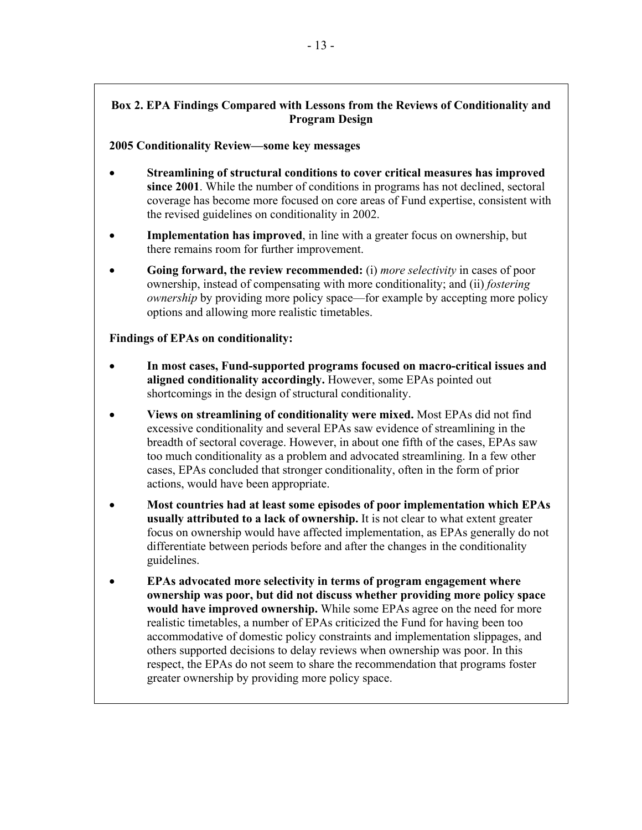#### **Box 2. EPA Findings Compared with Lessons from the Reviews of Conditionality and Program Design**

#### **2005 Conditionality Review—some key messages**

- **Streamlining of structural conditions to cover critical measures has improved since 2001**. While the number of conditions in programs has not declined, sectoral coverage has become more focused on core areas of Fund expertise, consistent with the revised guidelines on conditionality in 2002.
- **Implementation has improved**, in line with a greater focus on ownership, but there remains room for further improvement.
- **Going forward, the review recommended:** (i) *more selectivity* in cases of poor ownership, instead of compensating with more conditionality; and (ii) *fostering ownership* by providing more policy space—for example by accepting more policy options and allowing more realistic timetables.

#### **Findings of EPAs on conditionality:**

- **In most cases, Fund-supported programs focused on macro-critical issues and aligned conditionality accordingly.** However, some EPAs pointed out shortcomings in the design of structural conditionality.
- **Views on streamlining of conditionality were mixed.** Most EPAs did not find excessive conditionality and several EPAs saw evidence of streamlining in the breadth of sectoral coverage. However, in about one fifth of the cases, EPAs saw too much conditionality as a problem and advocated streamlining. In a few other cases, EPAs concluded that stronger conditionality, often in the form of prior actions, would have been appropriate.
- **Most countries had at least some episodes of poor implementation which EPAs usually attributed to a lack of ownership.** It is not clear to what extent greater focus on ownership would have affected implementation, as EPAs generally do not differentiate between periods before and after the changes in the conditionality guidelines.
- **EPAs advocated more selectivity in terms of program engagement where ownership was poor, but did not discuss whether providing more policy space would have improved ownership.** While some EPAs agree on the need for more realistic timetables, a number of EPAs criticized the Fund for having been too accommodative of domestic policy constraints and implementation slippages, and others supported decisions to delay reviews when ownership was poor. In this respect, the EPAs do not seem to share the recommendation that programs foster greater ownership by providing more policy space.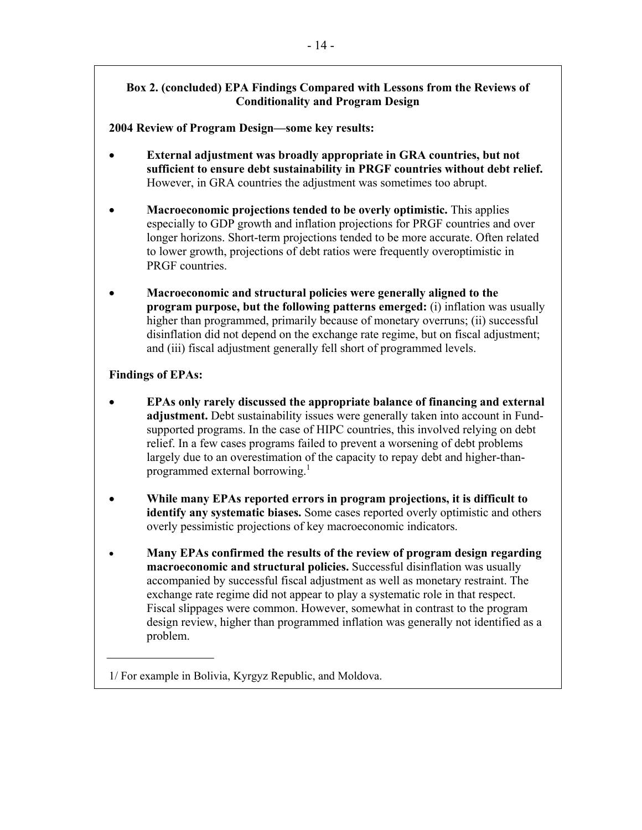## **Box 2. (concluded) EPA Findings Compared with Lessons from the Reviews of Conditionality and Program Design**

## **2004 Review of Program Design—some key results:**

- **External adjustment was broadly appropriate in GRA countries, but not sufficient to ensure debt sustainability in PRGF countries without debt relief.** However, in GRA countries the adjustment was sometimes too abrupt.
- **Macroeconomic projections tended to be overly optimistic.** This applies especially to GDP growth and inflation projections for PRGF countries and over longer horizons. Short-term projections tended to be more accurate. Often related to lower growth, projections of debt ratios were frequently overoptimistic in PRGF countries.
- **Macroeconomic and structural policies were generally aligned to the program purpose, but the following patterns emerged:** (i) inflation was usually higher than programmed, primarily because of monetary overruns; (ii) successful disinflation did not depend on the exchange rate regime, but on fiscal adjustment; and (iii) fiscal adjustment generally fell short of programmed levels.

## **Findings of EPAs:**

- **EPAs only rarely discussed the appropriate balance of financing and external adjustment.** Debt sustainability issues were generally taken into account in Fundsupported programs. In the case of HIPC countries, this involved relying on debt relief. In a few cases programs failed to prevent a worsening of debt problems largely due to an overestimation of the capacity to repay debt and higher-thanprogrammed external borrowing.<sup>1</sup>
- **While many EPAs reported errors in program projections, it is difficult to identify any systematic biases.** Some cases reported overly optimistic and others overly pessimistic projections of key macroeconomic indicators.
- **Many EPAs confirmed the results of the review of program design regarding macroeconomic and structural policies.** Successful disinflation was usually accompanied by successful fiscal adjustment as well as monetary restraint. The exchange rate regime did not appear to play a systematic role in that respect. Fiscal slippages were common. However, somewhat in contrast to the program design review, higher than programmed inflation was generally not identified as a problem.

<sup>1/</sup> For example in Bolivia, Kyrgyz Republic, and Moldova.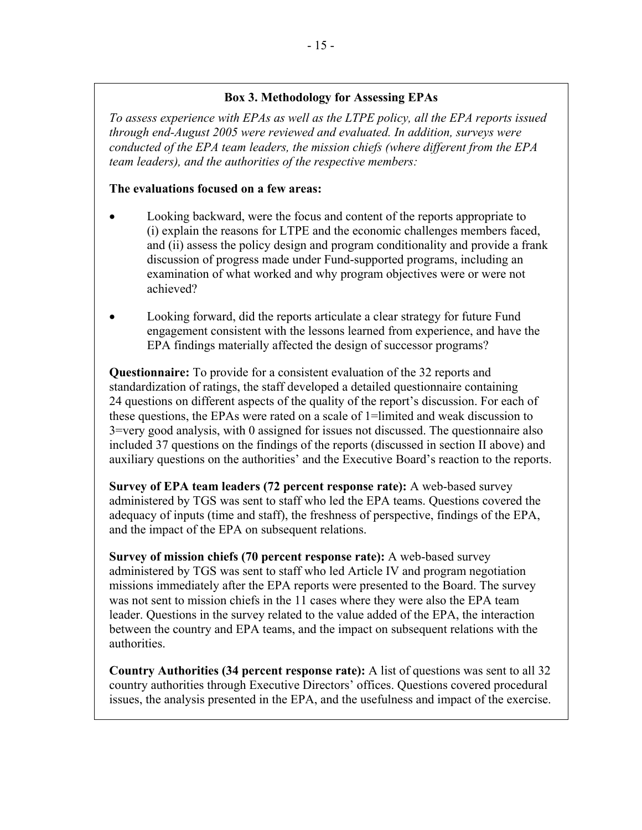# **Box 3. Methodology for Assessing EPAs**

*To assess experience with EPAs as well as the LTPE policy, all the EPA reports issued through end-August 2005 were reviewed and evaluated. In addition, surveys were conducted of the EPA team leaders, the mission chiefs (where different from the EPA team leaders), and the authorities of the respective members:* 

# **The evaluations focused on a few areas:**

- Looking backward, were the focus and content of the reports appropriate to (i) explain the reasons for LTPE and the economic challenges members faced, and (ii) assess the policy design and program conditionality and provide a frank discussion of progress made under Fund-supported programs, including an examination of what worked and why program objectives were or were not achieved?
- Looking forward, did the reports articulate a clear strategy for future Fund engagement consistent with the lessons learned from experience, and have the EPA findings materially affected the design of successor programs?

**Questionnaire:** To provide for a consistent evaluation of the 32 reports and standardization of ratings, the staff developed a detailed questionnaire containing 24 questions on different aspects of the quality of the report's discussion. For each of these questions, the EPAs were rated on a scale of 1=limited and weak discussion to 3=very good analysis, with 0 assigned for issues not discussed. The questionnaire also included 37 questions on the findings of the reports (discussed in section II above) and auxiliary questions on the authorities' and the Executive Board's reaction to the reports.

**Survey of EPA team leaders (72 percent response rate):** A web-based survey administered by TGS was sent to staff who led the EPA teams. Questions covered the adequacy of inputs (time and staff), the freshness of perspective, findings of the EPA, and the impact of the EPA on subsequent relations.

**Survey of mission chiefs (70 percent response rate):** A web-based survey administered by TGS was sent to staff who led Article IV and program negotiation missions immediately after the EPA reports were presented to the Board. The survey was not sent to mission chiefs in the 11 cases where they were also the EPA team leader. Questions in the survey related to the value added of the EPA, the interaction between the country and EPA teams, and the impact on subsequent relations with the authorities.

**Country Authorities (34 percent response rate):** A list of questions was sent to all 32 country authorities through Executive Directors' offices. Questions covered procedural issues, the analysis presented in the EPA, and the usefulness and impact of the exercise.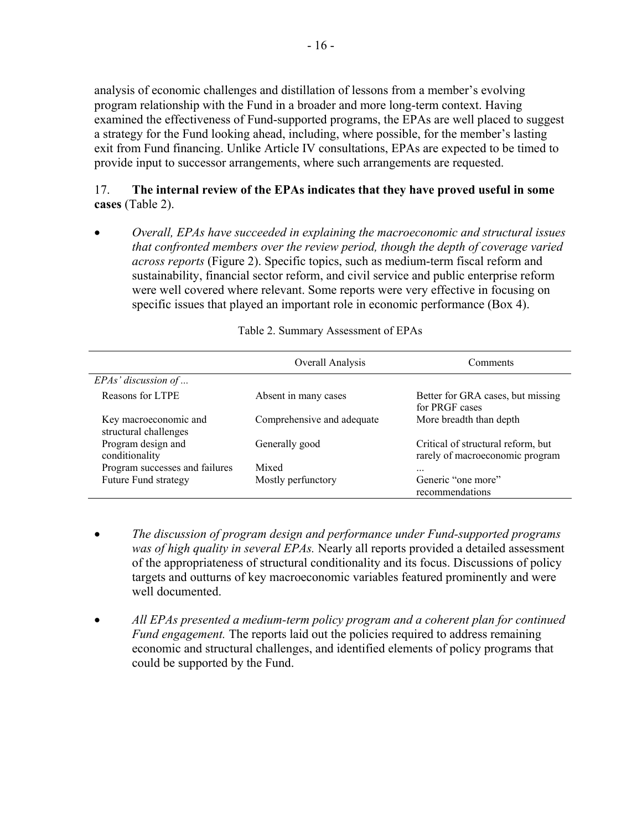analysis of economic challenges and distillation of lessons from a member's evolving program relationship with the Fund in a broader and more long-term context. Having examined the effectiveness of Fund-supported programs, the EPAs are well placed to suggest a strategy for the Fund looking ahead, including, where possible, for the member's lasting exit from Fund financing. Unlike Article IV consultations, EPAs are expected to be timed to provide input to successor arrangements, where such arrangements are requested.

# 17. **The internal review of the EPAs indicates that they have proved useful in some cases** (Table 2).

• *Overall, EPAs have succeeded in explaining the macroeconomic and structural issues that confronted members over the review period, though the depth of coverage varied across reports* (Figure 2). Specific topics, such as medium-term fiscal reform and sustainability, financial sector reform, and civil service and public enterprise reform were well covered where relevant. Some reports were very effective in focusing on specific issues that played an important role in economic performance (Box 4).

|                                                | Overall Analysis           | Comments                                                              |
|------------------------------------------------|----------------------------|-----------------------------------------------------------------------|
| $EPAs$ ' discussion of                         |                            |                                                                       |
| Reasons for LTPE                               | Absent in many cases       | Better for GRA cases, but missing<br>for PRGF cases                   |
| Key macroeconomic and<br>structural challenges | Comprehensive and adequate | More breadth than depth                                               |
| Program design and<br>conditionality           | Generally good             | Critical of structural reform, but<br>rarely of macroeconomic program |
| Program successes and failures                 | Mixed                      |                                                                       |
| Future Fund strategy                           | Mostly perfunctory         | Generic "one more"<br>recommendations                                 |

#### Table 2. Summary Assessment of EPAs

- *The discussion of program design and performance under Fund-supported programs was of high quality in several EPAs.* Nearly all reports provided a detailed assessment of the appropriateness of structural conditionality and its focus. Discussions of policy targets and outturns of key macroeconomic variables featured prominently and were well documented.
- *All EPAs presented a medium-term policy program and a coherent plan for continued Fund engagement*. The reports laid out the policies required to address remaining economic and structural challenges, and identified elements of policy programs that could be supported by the Fund.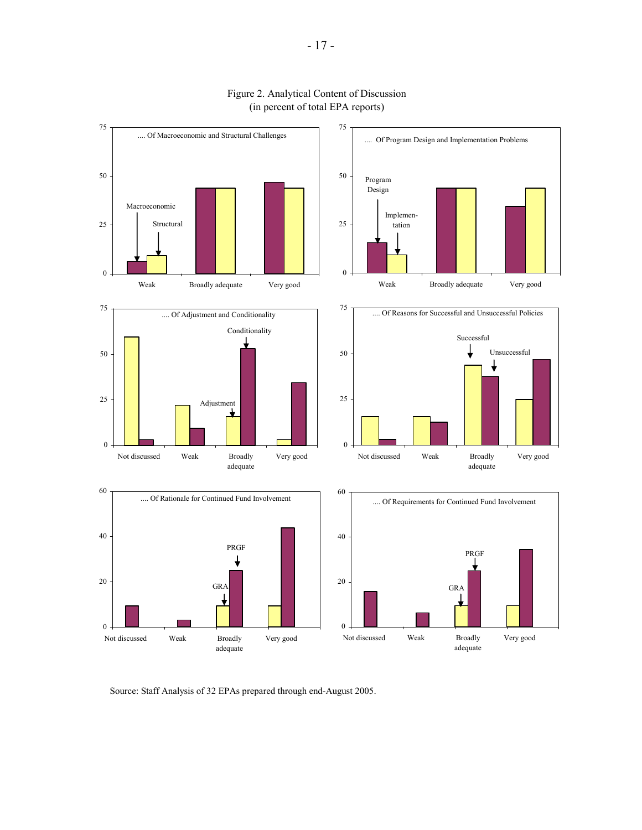

#### Figure 2. Analytical Content of Discussion (in percent of total EPA reports)

Source: Staff Analysis of 32 EPAs prepared through end-August 2005.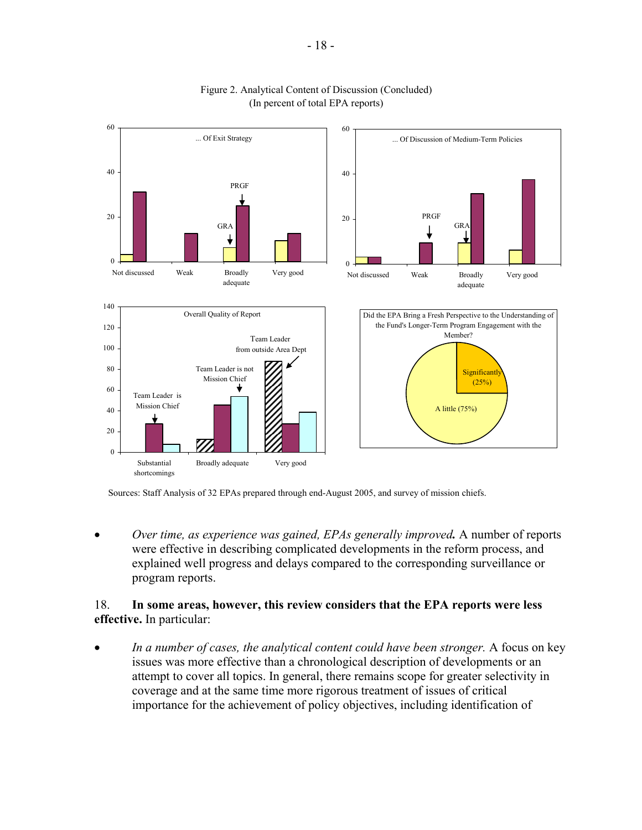

#### Figure 2. Analytical Content of Discussion (Concluded) (In percent of total EPA reports)

Sources: Staff Analysis of 32 EPAs prepared through end-August 2005, and survey of mission chiefs.

• *Over time, as experience was gained, EPAs generally improved.* A number of reports were effective in describing complicated developments in the reform process, and explained well progress and delays compared to the corresponding surveillance or program reports.

#### 18. **In some areas, however, this review considers that the EPA reports were less effective.** In particular:

• *In a number of cases, the analytical content could have been stronger.* A focus on key issues was more effective than a chronological description of developments or an attempt to cover all topics. In general, there remains scope for greater selectivity in coverage and at the same time more rigorous treatment of issues of critical importance for the achievement of policy objectives, including identification of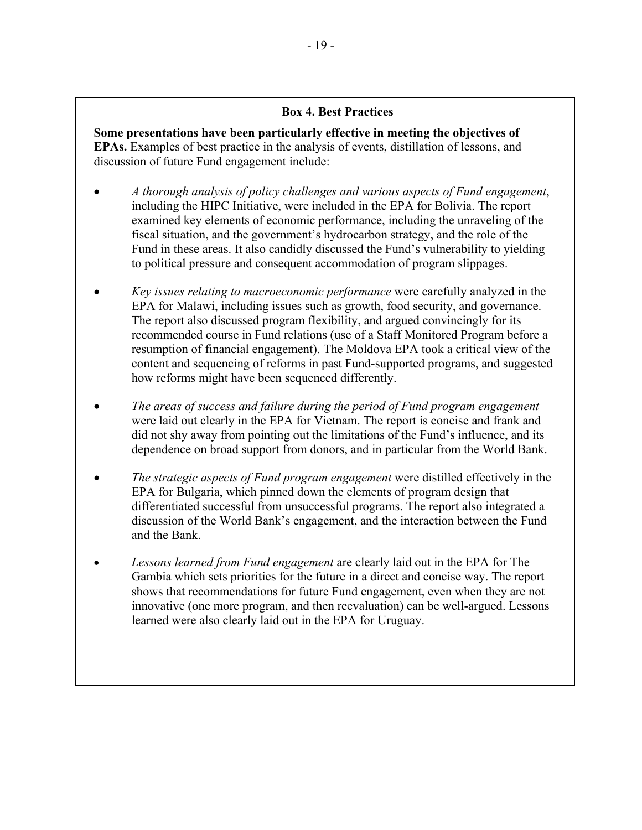## **Box 4. Best Practices**

**Some presentations have been particularly effective in meeting the objectives of EPAs.** Examples of best practice in the analysis of events, distillation of lessons, and discussion of future Fund engagement include:

- *A thorough analysis of policy challenges and various aspects of Fund engagement*, including the HIPC Initiative, were included in the EPA for Bolivia. The report examined key elements of economic performance, including the unraveling of the fiscal situation, and the government's hydrocarbon strategy, and the role of the Fund in these areas. It also candidly discussed the Fund's vulnerability to yielding to political pressure and consequent accommodation of program slippages.
- *Key issues relating to macroeconomic performance* were carefully analyzed in the EPA for Malawi, including issues such as growth, food security, and governance. The report also discussed program flexibility, and argued convincingly for its recommended course in Fund relations (use of a Staff Monitored Program before a resumption of financial engagement). The Moldova EPA took a critical view of the content and sequencing of reforms in past Fund-supported programs, and suggested how reforms might have been sequenced differently.
- *The areas of success and failure during the period of Fund program engagement*  were laid out clearly in the EPA for Vietnam. The report is concise and frank and did not shy away from pointing out the limitations of the Fund's influence, and its dependence on broad support from donors, and in particular from the World Bank.
- *The strategic aspects of Fund program engagement* were distilled effectively in the EPA for Bulgaria, which pinned down the elements of program design that differentiated successful from unsuccessful programs. The report also integrated a discussion of the World Bank's engagement, and the interaction between the Fund and the Bank.
- *Lessons learned from Fund engagement* are clearly laid out in the EPA for The Gambia which sets priorities for the future in a direct and concise way. The report shows that recommendations for future Fund engagement, even when they are not innovative (one more program, and then reevaluation) can be well-argued. Lessons learned were also clearly laid out in the EPA for Uruguay.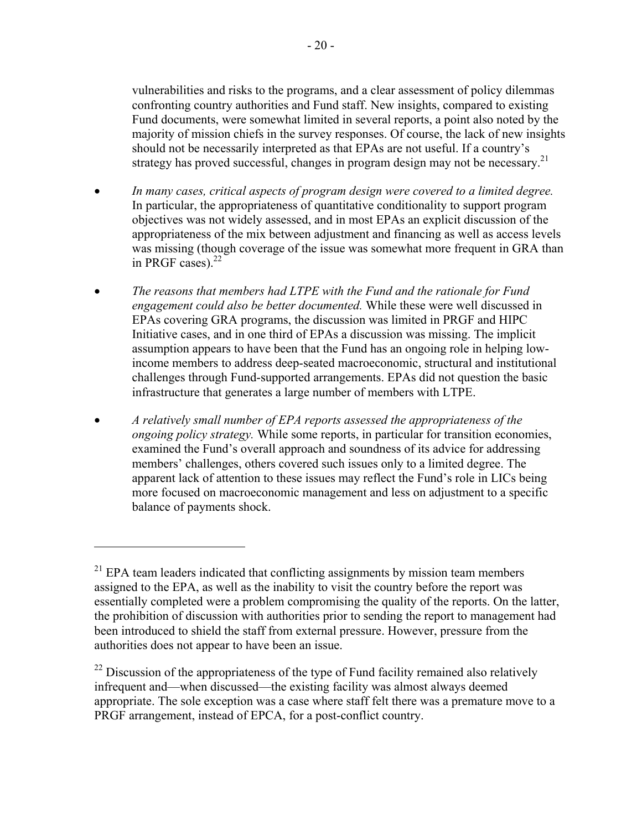vulnerabilities and risks to the programs, and a clear assessment of policy dilemmas confronting country authorities and Fund staff. New insights, compared to existing Fund documents, were somewhat limited in several reports, a point also noted by the majority of mission chiefs in the survey responses. Of course, the lack of new insights should not be necessarily interpreted as that EPAs are not useful. If a country's strategy has proved successful, changes in program design may not be necessary.<sup>21</sup>

- *In many cases, critical aspects of program design were covered to a limited degree.* In particular, the appropriateness of quantitative conditionality to support program objectives was not widely assessed, and in most EPAs an explicit discussion of the appropriateness of the mix between adjustment and financing as well as access levels was missing (though coverage of the issue was somewhat more frequent in GRA than in PRGF cases). $^{22}$
- *The reasons that members had LTPE with the Fund and the rationale for Fund engagement could also be better documented.* While these were well discussed in EPAs covering GRA programs, the discussion was limited in PRGF and HIPC Initiative cases, and in one third of EPAs a discussion was missing. The implicit assumption appears to have been that the Fund has an ongoing role in helping lowincome members to address deep-seated macroeconomic, structural and institutional challenges through Fund-supported arrangements. EPAs did not question the basic infrastructure that generates a large number of members with LTPE.
- *A relatively small number of EPA reports assessed the appropriateness of the ongoing policy strategy.* While some reports, in particular for transition economies, examined the Fund's overall approach and soundness of its advice for addressing members' challenges, others covered such issues only to a limited degree. The apparent lack of attention to these issues may reflect the Fund's role in LICs being more focused on macroeconomic management and less on adjustment to a specific balance of payments shock.

 $21$  EPA team leaders indicated that conflicting assignments by mission team members assigned to the EPA, as well as the inability to visit the country before the report was essentially completed were a problem compromising the quality of the reports. On the latter, the prohibition of discussion with authorities prior to sending the report to management had been introduced to shield the staff from external pressure. However, pressure from the authorities does not appear to have been an issue.

 $^{22}$  Discussion of the appropriateness of the type of Fund facility remained also relatively infrequent and—when discussed—the existing facility was almost always deemed appropriate. The sole exception was a case where staff felt there was a premature move to a PRGF arrangement, instead of EPCA, for a post-conflict country.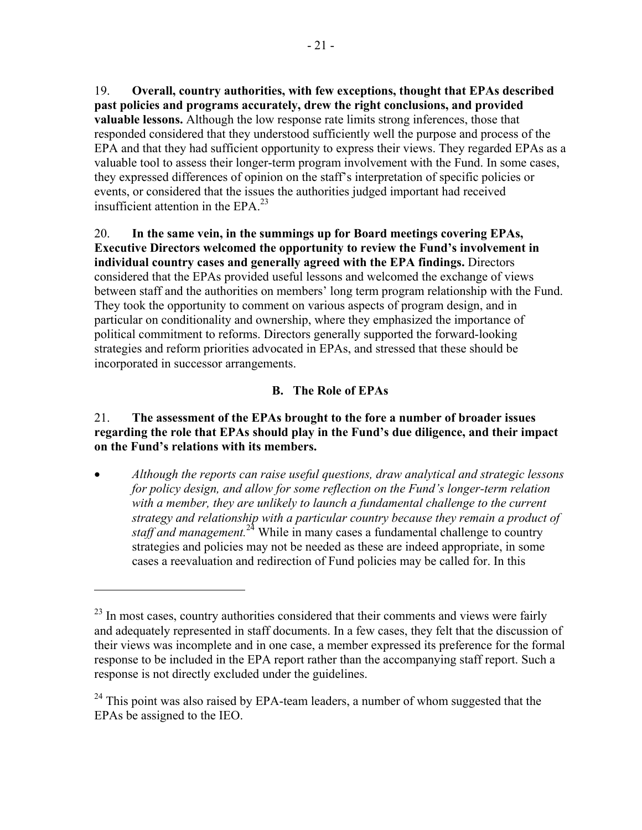19. **Overall, country authorities, with few exceptions, thought that EPAs described past policies and programs accurately, drew the right conclusions, and provided valuable lessons.** Although the low response rate limits strong inferences, those that responded considered that they understood sufficiently well the purpose and process of the EPA and that they had sufficient opportunity to express their views. They regarded EPAs as a valuable tool to assess their longer-term program involvement with the Fund. In some cases, they expressed differences of opinion on the staff's interpretation of specific policies or events, or considered that the issues the authorities judged important had received insufficient attention in the  $EPA.<sup>23</sup>$ 

20. **In the same vein, in the summings up for Board meetings covering EPAs, Executive Directors welcomed the opportunity to review the Fund's involvement in individual country cases and generally agreed with the EPA findings.** Directors considered that the EPAs provided useful lessons and welcomed the exchange of views between staff and the authorities on members' long term program relationship with the Fund. They took the opportunity to comment on various aspects of program design, and in particular on conditionality and ownership, where they emphasized the importance of political commitment to reforms. Directors generally supported the forward-looking strategies and reform priorities advocated in EPAs, and stressed that these should be incorporated in successor arrangements.

# **B. The Role of EPAs**

# 21. **The assessment of the EPAs brought to the fore a number of broader issues regarding the role that EPAs should play in the Fund's due diligence, and their impact on the Fund's relations with its members.**

• *Although the reports can raise useful questions, draw analytical and strategic lessons for policy design, and allow for some reflection on the Fund's longer-term relation*  with a member, they are unlikely to launch a fundamental challenge to the current *strategy and relationship with a particular country because they remain a product of staff and management.*<sup>24</sup> While in many cases a fundamental challenge to country strategies and policies may not be needed as these are indeed appropriate, in some cases a reevaluation and redirection of Fund policies may be called for. In this

 $^{23}$  In most cases, country authorities considered that their comments and views were fairly and adequately represented in staff documents. In a few cases, they felt that the discussion of their views was incomplete and in one case, a member expressed its preference for the formal response to be included in the EPA report rather than the accompanying staff report. Such a response is not directly excluded under the guidelines.

 $24$  This point was also raised by EPA-team leaders, a number of whom suggested that the EPAs be assigned to the IEO.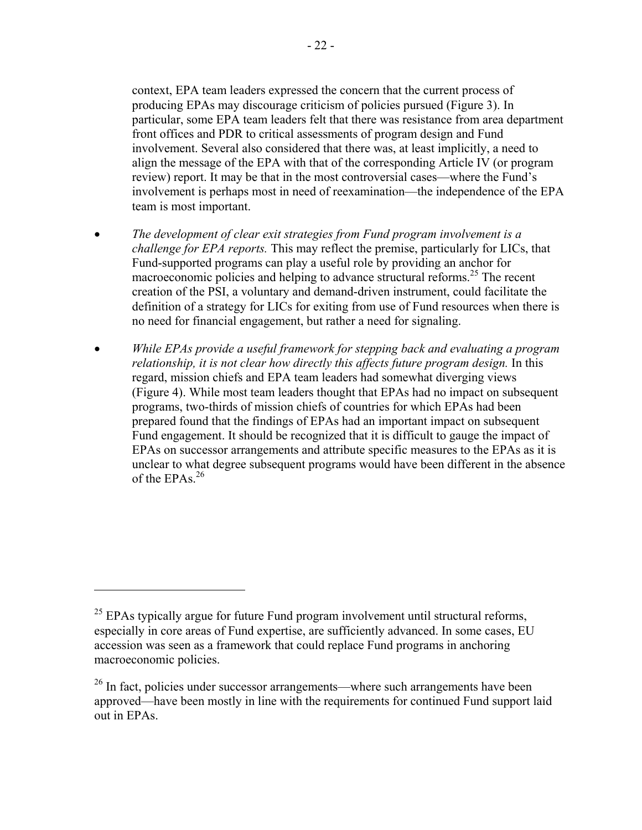context, EPA team leaders expressed the concern that the current process of producing EPAs may discourage criticism of policies pursued (Figure 3). In particular, some EPA team leaders felt that there was resistance from area department front offices and PDR to critical assessments of program design and Fund involvement. Several also considered that there was, at least implicitly, a need to align the message of the EPA with that of the corresponding Article IV (or program review) report. It may be that in the most controversial cases—where the Fund's involvement is perhaps most in need of reexamination—the independence of the EPA team is most important.

- *The development of clear exit strategies from Fund program involvement is a challenge for EPA reports.* This may reflect the premise, particularly for LICs, that Fund-supported programs can play a useful role by providing an anchor for macroeconomic policies and helping to advance structural reforms.<sup>25</sup> The recent creation of the PSI, a voluntary and demand-driven instrument, could facilitate the definition of a strategy for LICs for exiting from use of Fund resources when there is no need for financial engagement, but rather a need for signaling.
- *While EPAs provide a useful framework for stepping back and evaluating a program relationship, it is not clear how directly this affects future program design.* In this regard, mission chiefs and EPA team leaders had somewhat diverging views (Figure 4). While most team leaders thought that EPAs had no impact on subsequent programs, two-thirds of mission chiefs of countries for which EPAs had been prepared found that the findings of EPAs had an important impact on subsequent Fund engagement. It should be recognized that it is difficult to gauge the impact of EPAs on successor arrangements and attribute specific measures to the EPAs as it is unclear to what degree subsequent programs would have been different in the absence of the EPAs. $^{26}$

 $25$  EPAs typically argue for future Fund program involvement until structural reforms, especially in core areas of Fund expertise, are sufficiently advanced. In some cases, EU accession was seen as a framework that could replace Fund programs in anchoring macroeconomic policies.

<sup>&</sup>lt;sup>26</sup> In fact, policies under successor arrangements—where such arrangements have been approved—have been mostly in line with the requirements for continued Fund support laid out in EPAs.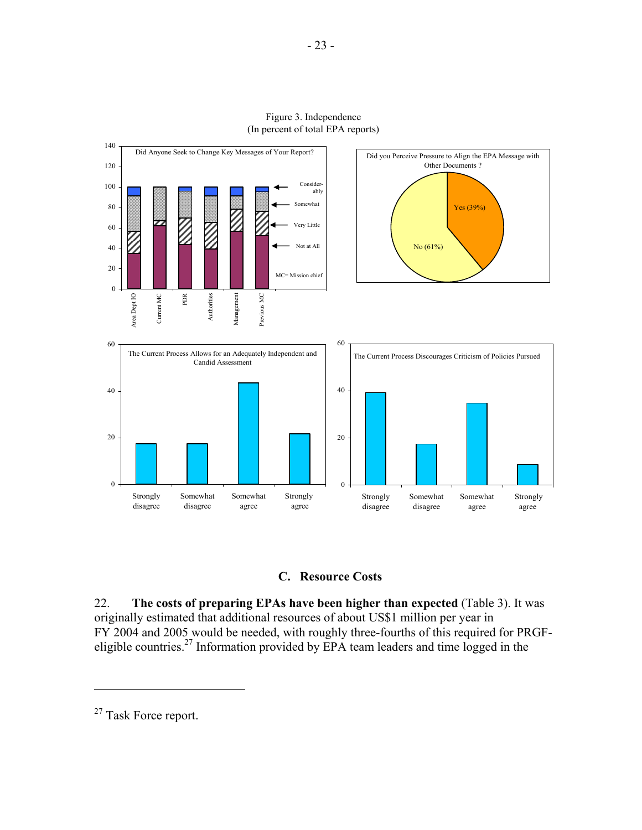

Figure 3. Independence (In percent of total EPA reports)



22. **The costs of preparing EPAs have been higher than expected** (Table 3). It was originally estimated that additional resources of about US\$1 million per year in FY 2004 and 2005 would be needed, with roughly three-fourths of this required for PRGFeligible countries.<sup>27</sup> Information provided by EPA team leaders and time logged in the

<sup>&</sup>lt;sup>27</sup> Task Force report.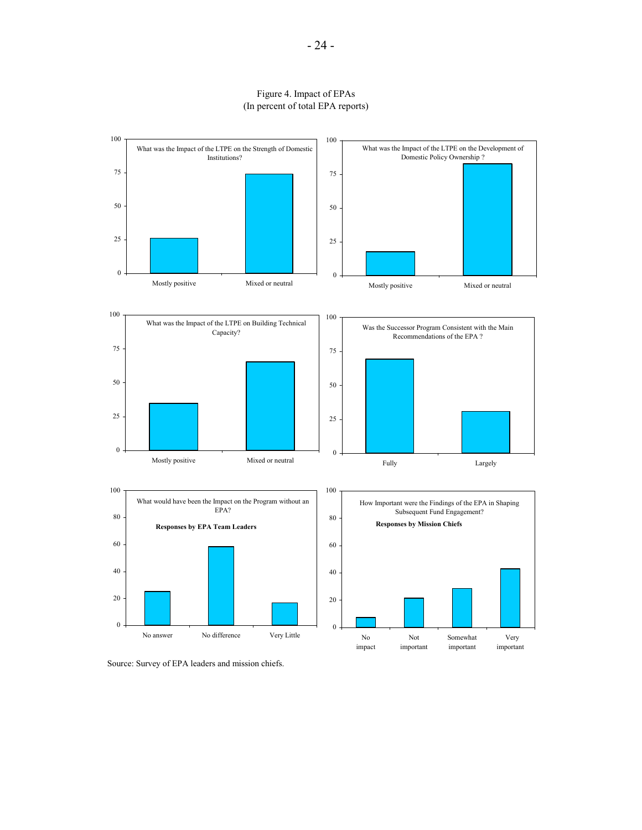#### Figure 4. Impact of EPAs (In percent of total EPA reports)



Source: Survey of EPA leaders and mission chiefs.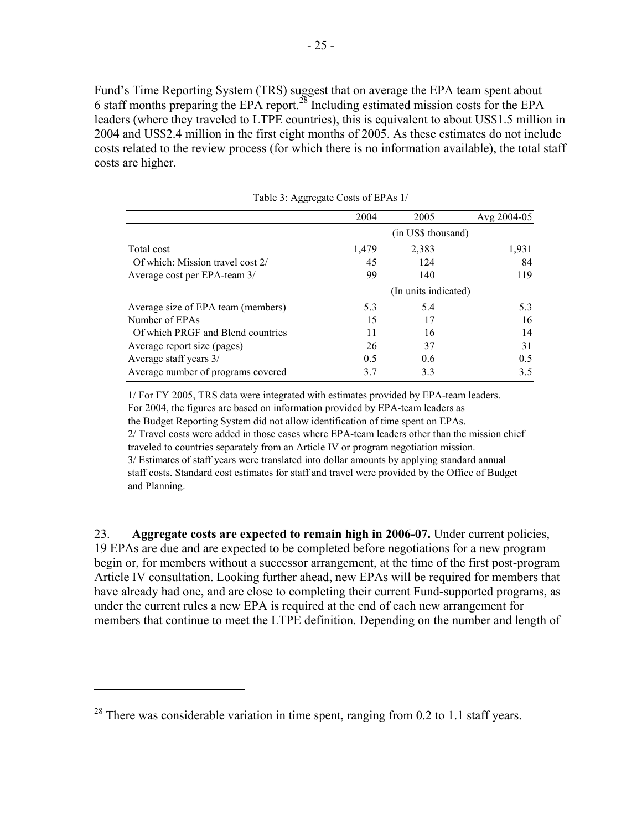Fund's Time Reporting System (TRS) suggest that on average the EPA team spent about 6 staff months preparing the EPA report.28 Including estimated mission costs for the EPA leaders (where they traveled to LTPE countries), this is equivalent to about US\$1.5 million in 2004 and US\$2.4 million in the first eight months of 2005. As these estimates do not include costs related to the review process (for which there is no information available), the total staff costs are higher.

|                                    | 2004  | 2005                 | Avg $2004 - 05$ |
|------------------------------------|-------|----------------------|-----------------|
|                                    |       | (in US\$ thousand)   |                 |
| Total cost                         | 1,479 | 2,383                | 1,931           |
| Of which: Mission travel cost 2/   | 45    | 124                  | 84              |
| Average cost per EPA-team 3/       | 99    | 140                  | 119             |
|                                    |       | (In units indicated) |                 |
| Average size of EPA team (members) | 5.3   | 5.4                  | 5.3             |
| Number of EPAs                     | 15    | 17                   | 16              |
| Of which PRGF and Blend countries  | 11    | 16                   | 14              |
| Average report size (pages)        | 26    | 37                   | 31              |
| Average staff years 3/             | 0.5   | 0.6                  | 0.5             |
| Average number of programs covered | 3.7   | 3.3                  | 3.5             |

Table 3: Aggregate Costs of EPAs 1/

1/ For FY 2005, TRS data were integrated with estimates provided by EPA-team leaders. For 2004, the figures are based on information provided by EPA-team leaders as the Budget Reporting System did not allow identification of time spent on EPAs. 2/ Travel costs were added in those cases where EPA-team leaders other than the mission chief traveled to countries separately from an Article IV or program negotiation mission. 3/ Estimates of staff years were translated into dollar amounts by applying standard annual staff costs. Standard cost estimates for staff and travel were provided by the Office of Budget and Planning.

23. **Aggregate costs are expected to remain high in 2006-07.** Under current policies, 19 EPAs are due and are expected to be completed before negotiations for a new program begin or, for members without a successor arrangement, at the time of the first post-program Article IV consultation. Looking further ahead, new EPAs will be required for members that have already had one, and are close to completing their current Fund-supported programs, as under the current rules a new EPA is required at the end of each new arrangement for members that continue to meet the LTPE definition. Depending on the number and length of

1

 $28$  There was considerable variation in time spent, ranging from 0.2 to 1.1 staff years.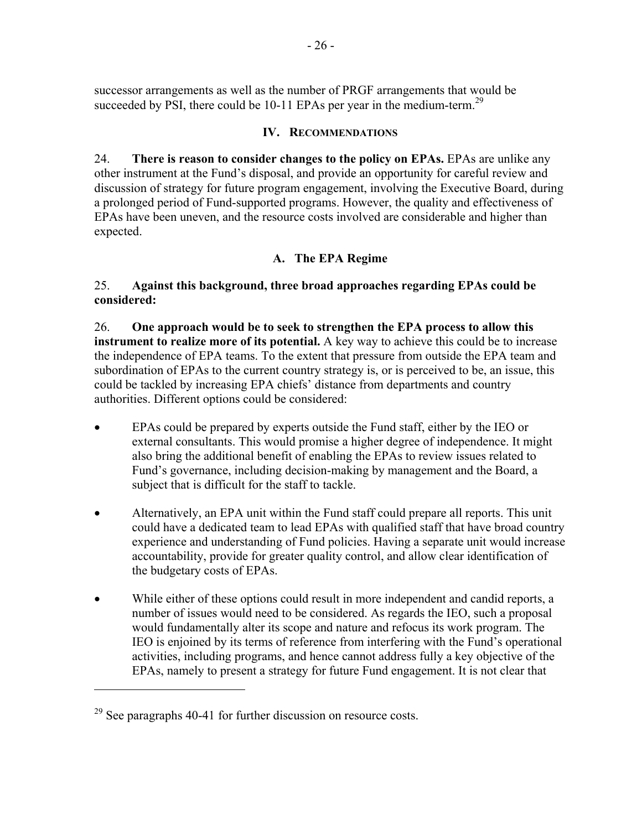successor arrangements as well as the number of PRGF arrangements that would be succeeded by PSI, there could be 10-11 EPAs per year in the medium-term.<sup>29</sup>

# **IV. RECOMMENDATIONS**

24. **There is reason to consider changes to the policy on EPAs.** EPAs are unlike any other instrument at the Fund's disposal, and provide an opportunity for careful review and discussion of strategy for future program engagement, involving the Executive Board, during a prolonged period of Fund-supported programs. However, the quality and effectiveness of EPAs have been uneven, and the resource costs involved are considerable and higher than expected.

# **A. The EPA Regime**

# 25. **Against this background, three broad approaches regarding EPAs could be considered:**

26. **One approach would be to seek to strengthen the EPA process to allow this instrument to realize more of its potential.** A key way to achieve this could be to increase the independence of EPA teams. To the extent that pressure from outside the EPA team and subordination of EPAs to the current country strategy is, or is perceived to be, an issue, this could be tackled by increasing EPA chiefs' distance from departments and country authorities. Different options could be considered:

- EPAs could be prepared by experts outside the Fund staff, either by the IEO or external consultants. This would promise a higher degree of independence. It might also bring the additional benefit of enabling the EPAs to review issues related to Fund's governance, including decision-making by management and the Board, a subject that is difficult for the staff to tackle.
- Alternatively, an EPA unit within the Fund staff could prepare all reports. This unit could have a dedicated team to lead EPAs with qualified staff that have broad country experience and understanding of Fund policies. Having a separate unit would increase accountability, provide for greater quality control, and allow clear identification of the budgetary costs of EPAs.
- While either of these options could result in more independent and candid reports, a number of issues would need to be considered. As regards the IEO, such a proposal would fundamentally alter its scope and nature and refocus its work program. The IEO is enjoined by its terms of reference from interfering with the Fund's operational activities, including programs, and hence cannot address fully a key objective of the EPAs, namely to present a strategy for future Fund engagement. It is not clear that

 $29$  See paragraphs 40-41 for further discussion on resource costs.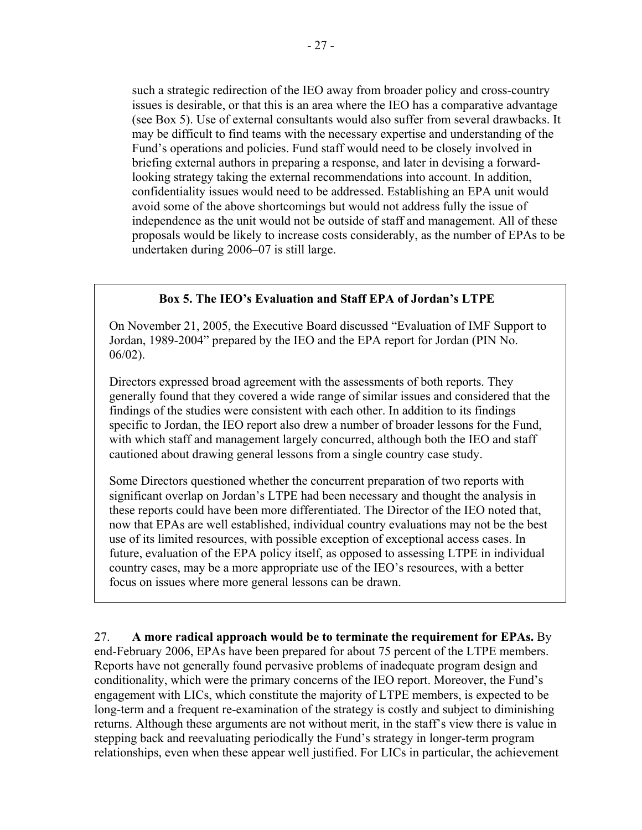such a strategic redirection of the IEO away from broader policy and cross-country issues is desirable, or that this is an area where the IEO has a comparative advantage (see Box 5). Use of external consultants would also suffer from several drawbacks. It may be difficult to find teams with the necessary expertise and understanding of the Fund's operations and policies. Fund staff would need to be closely involved in briefing external authors in preparing a response, and later in devising a forwardlooking strategy taking the external recommendations into account. In addition, confidentiality issues would need to be addressed. Establishing an EPA unit would avoid some of the above shortcomings but would not address fully the issue of independence as the unit would not be outside of staff and management. All of these proposals would be likely to increase costs considerably, as the number of EPAs to be undertaken during 2006–07 is still large.

## **Box 5. The IEO's Evaluation and Staff EPA of Jordan's LTPE**

On November 21, 2005, the Executive Board discussed "Evaluation of IMF Support to Jordan, 1989-2004" prepared by the IEO and the EPA report for Jordan (PIN No. 06/02).

Directors expressed broad agreement with the assessments of both reports. They generally found that they covered a wide range of similar issues and considered that the findings of the studies were consistent with each other. In addition to its findings specific to Jordan, the IEO report also drew a number of broader lessons for the Fund, with which staff and management largely concurred, although both the IEO and staff cautioned about drawing general lessons from a single country case study.

Some Directors questioned whether the concurrent preparation of two reports with significant overlap on Jordan's LTPE had been necessary and thought the analysis in these reports could have been more differentiated. The Director of the IEO noted that, now that EPAs are well established, individual country evaluations may not be the best use of its limited resources, with possible exception of exceptional access cases. In future, evaluation of the EPA policy itself, as opposed to assessing LTPE in individual country cases, may be a more appropriate use of the IEO's resources, with a better focus on issues where more general lessons can be drawn.

27. **A more radical approach would be to terminate the requirement for EPAs.** By end-February 2006, EPAs have been prepared for about 75 percent of the LTPE members. Reports have not generally found pervasive problems of inadequate program design and conditionality, which were the primary concerns of the IEO report. Moreover, the Fund's engagement with LICs, which constitute the majority of LTPE members, is expected to be long-term and a frequent re-examination of the strategy is costly and subject to diminishing returns. Although these arguments are not without merit, in the staff's view there is value in stepping back and reevaluating periodically the Fund's strategy in longer-term program relationships, even when these appear well justified. For LICs in particular, the achievement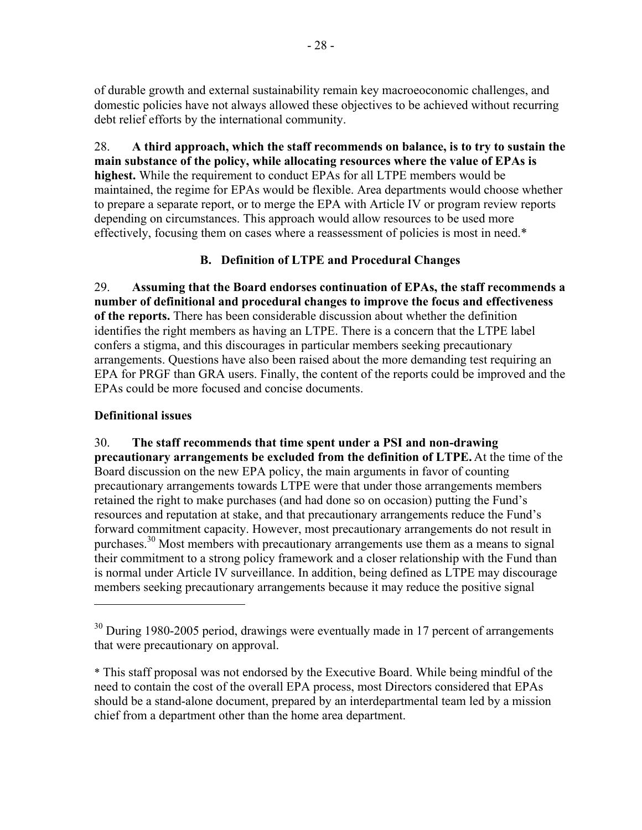of durable growth and external sustainability remain key macroeoconomic challenges, and domestic policies have not always allowed these objectives to be achieved without recurring debt relief efforts by the international community.

28. **A third approach, which the staff recommends on balance, is to try to sustain the main substance of the policy, while allocating resources where the value of EPAs is highest.** While the requirement to conduct EPAs for all LTPE members would be maintained, the regime for EPAs would be flexible. Area departments would choose whether to prepare a separate report, or to merge the EPA with Article IV or program review reports depending on circumstances. This approach would allow resources to be used more effectively, focusing them on cases where a reassessment of policies is most in need.\*

# **B. Definition of LTPE and Procedural Changes**

29. **Assuming that the Board endorses continuation of EPAs, the staff recommends a number of definitional and procedural changes to improve the focus and effectiveness of the reports.** There has been considerable discussion about whether the definition identifies the right members as having an LTPE. There is a concern that the LTPE label confers a stigma, and this discourages in particular members seeking precautionary arrangements. Questions have also been raised about the more demanding test requiring an EPA for PRGF than GRA users. Finally, the content of the reports could be improved and the EPAs could be more focused and concise documents.

# **Definitional issues**

 $\overline{a}$ 

30. **The staff recommends that time spent under a PSI and non-drawing precautionary arrangements be excluded from the definition of LTPE.** At the time of the Board discussion on the new EPA policy, the main arguments in favor of counting precautionary arrangements towards LTPE were that under those arrangements members retained the right to make purchases (and had done so on occasion) putting the Fund's resources and reputation at stake, and that precautionary arrangements reduce the Fund's forward commitment capacity. However, most precautionary arrangements do not result in purchases.<sup>30</sup> Most members with precautionary arrangements use them as a means to signal their commitment to a strong policy framework and a closer relationship with the Fund than is normal under Article IV surveillance. In addition, being defined as LTPE may discourage members seeking precautionary arrangements because it may reduce the positive signal

 $30$  During 1980-2005 period, drawings were eventually made in 17 percent of arrangements that were precautionary on approval.

<sup>\*</sup> This staff proposal was not endorsed by the Executive Board. While being mindful of the need to contain the cost of the overall EPA process, most Directors considered that EPAs should be a stand-alone document, prepared by an interdepartmental team led by a mission chief from a department other than the home area department.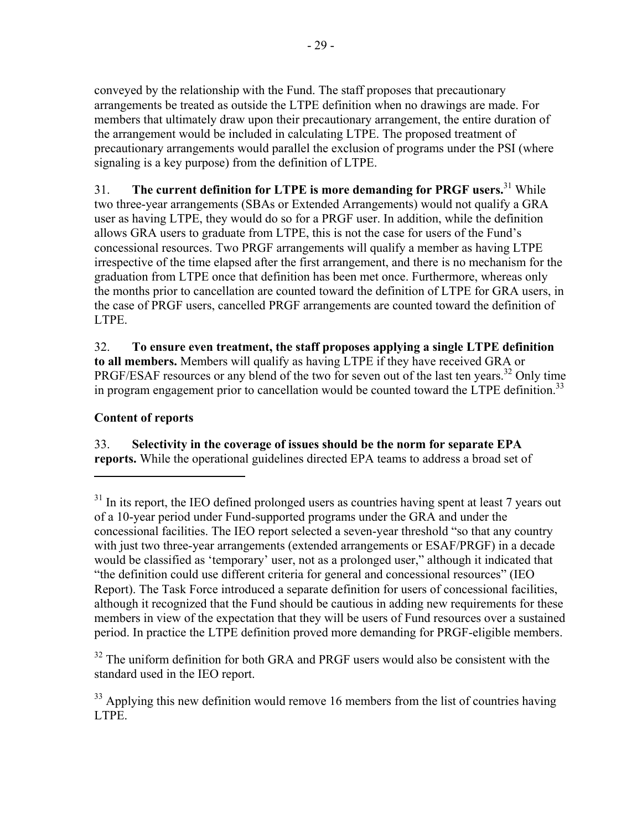conveyed by the relationship with the Fund. The staff proposes that precautionary arrangements be treated as outside the LTPE definition when no drawings are made. For members that ultimately draw upon their precautionary arrangement, the entire duration of the arrangement would be included in calculating LTPE. The proposed treatment of precautionary arrangements would parallel the exclusion of programs under the PSI (where signaling is a key purpose) from the definition of LTPE.

31. **The current definition for LTPE is more demanding for PRGF users.**31 While two three-year arrangements (SBAs or Extended Arrangements) would not qualify a GRA user as having LTPE, they would do so for a PRGF user. In addition, while the definition allows GRA users to graduate from LTPE, this is not the case for users of the Fund's concessional resources. Two PRGF arrangements will qualify a member as having LTPE irrespective of the time elapsed after the first arrangement, and there is no mechanism for the graduation from LTPE once that definition has been met once. Furthermore, whereas only the months prior to cancellation are counted toward the definition of LTPE for GRA users, in the case of PRGF users, cancelled PRGF arrangements are counted toward the definition of LTPE.

32. **To ensure even treatment, the staff proposes applying a single LTPE definition to all members.** Members will qualify as having LTPE if they have received GRA or PRGF/ESAF resources or any blend of the two for seven out of the last ten years.<sup>32</sup> Only time in program engagement prior to cancellation would be counted toward the LTPE definition.<sup>33</sup>

# **Content of reports**

<u>.</u>

33. **Selectivity in the coverage of issues should be the norm for separate EPA reports.** While the operational guidelines directed EPA teams to address a broad set of

 $32$  The uniform definition for both GRA and PRGF users would also be consistent with the standard used in the IEO report.

 $33$  Applying this new definition would remove 16 members from the list of countries having LTPE.

 $31$  In its report, the IEO defined prolonged users as countries having spent at least 7 years out of a 10-year period under Fund-supported programs under the GRA and under the concessional facilities. The IEO report selected a seven-year threshold "so that any country with just two three-year arrangements (extended arrangements or ESAF/PRGF) in a decade would be classified as 'temporary' user, not as a prolonged user," although it indicated that "the definition could use different criteria for general and concessional resources" (IEO Report). The Task Force introduced a separate definition for users of concessional facilities, although it recognized that the Fund should be cautious in adding new requirements for these members in view of the expectation that they will be users of Fund resources over a sustained period. In practice the LTPE definition proved more demanding for PRGF-eligible members.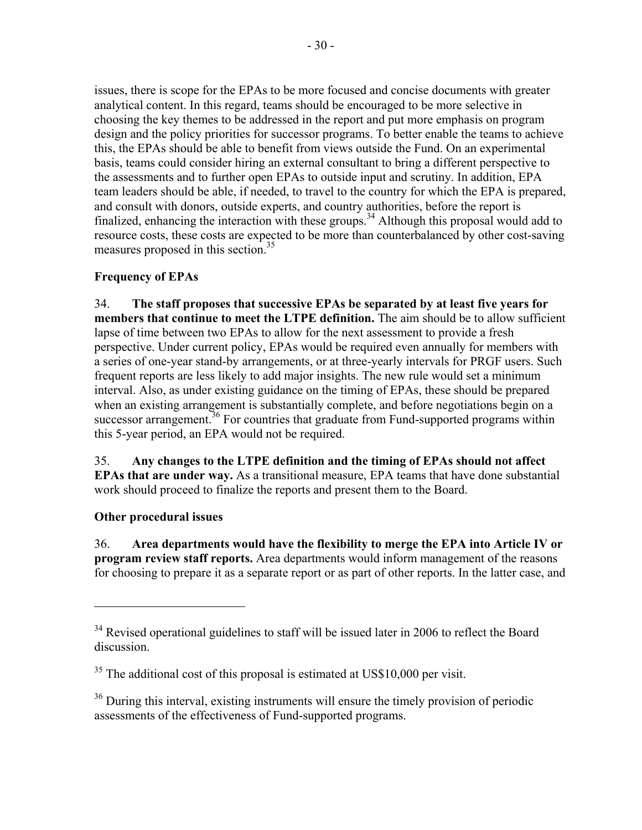issues, there is scope for the EPAs to be more focused and concise documents with greater analytical content. In this regard, teams should be encouraged to be more selective in choosing the key themes to be addressed in the report and put more emphasis on program design and the policy priorities for successor programs. To better enable the teams to achieve this, the EPAs should be able to benefit from views outside the Fund. On an experimental basis, teams could consider hiring an external consultant to bring a different perspective to the assessments and to further open EPAs to outside input and scrutiny. In addition, EPA team leaders should be able, if needed, to travel to the country for which the EPA is prepared, and consult with donors, outside experts, and country authorities, before the report is finalized, enhancing the interaction with these groups.<sup>34</sup> Although this proposal would add to resource costs, these costs are expected to be more than counterbalanced by other cost-saving measures proposed in this section.<sup>35</sup>

# **Frequency of EPAs**

34. **The staff proposes that successive EPAs be separated by at least five years for members that continue to meet the LTPE definition.** The aim should be to allow sufficient lapse of time between two EPAs to allow for the next assessment to provide a fresh perspective. Under current policy, EPAs would be required even annually for members with a series of one-year stand-by arrangements, or at three-yearly intervals for PRGF users. Such frequent reports are less likely to add major insights. The new rule would set a minimum interval. Also, as under existing guidance on the timing of EPAs, these should be prepared when an existing arrangement is substantially complete, and before negotiations begin on a successor arrangement.<sup>36</sup> For countries that graduate from Fund-supported programs within this 5-year period, an EPA would not be required.

35. **Any changes to the LTPE definition and the timing of EPAs should not affect EPAs that are under way.** As a transitional measure, EPA teams that have done substantial work should proceed to finalize the reports and present them to the Board.

# **Other procedural issues**

 $\overline{a}$ 

36. **Area departments would have the flexibility to merge the EPA into Article IV or program review staff reports.** Area departments would inform management of the reasons for choosing to prepare it as a separate report or as part of other reports. In the latter case, and

<sup>&</sup>lt;sup>34</sup> Revised operational guidelines to staff will be issued later in 2006 to reflect the Board discussion.

 $35$  The additional cost of this proposal is estimated at US\$10,000 per visit.

<sup>&</sup>lt;sup>36</sup> During this interval, existing instruments will ensure the timely provision of periodic assessments of the effectiveness of Fund-supported programs.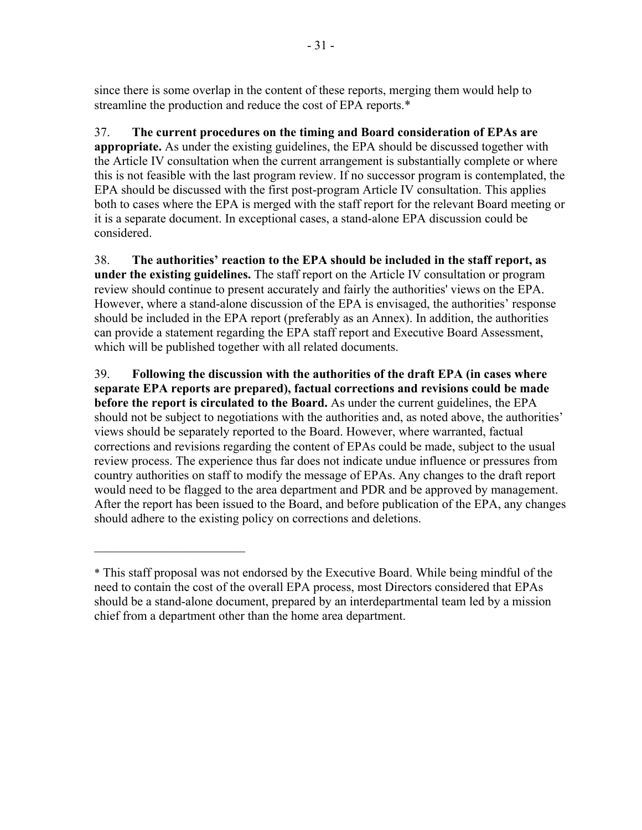since there is some overlap in the content of these reports, merging them would help to streamline the production and reduce the cost of EPA reports.\*

37. **The current procedures on the timing and Board consideration of EPAs are appropriate.** As under the existing guidelines, the EPA should be discussed together with the Article IV consultation when the current arrangement is substantially complete or where this is not feasible with the last program review. If no successor program is contemplated, the EPA should be discussed with the first post-program Article IV consultation. This applies both to cases where the EPA is merged with the staff report for the relevant Board meeting or it is a separate document. In exceptional cases, a stand-alone EPA discussion could be considered.

38. **The authorities' reaction to the EPA should be included in the staff report, as under the existing guidelines.** The staff report on the Article IV consultation or program review should continue to present accurately and fairly the authorities' views on the EPA. However, where a stand-alone discussion of the EPA is envisaged, the authorities' response should be included in the EPA report (preferably as an Annex). In addition, the authorities can provide a statement regarding the EPA staff report and Executive Board Assessment, which will be published together with all related documents.

39. **Following the discussion with the authorities of the draft EPA (in cases where separate EPA reports are prepared), factual corrections and revisions could be made before the report is circulated to the Board.** As under the current guidelines, the EPA should not be subject to negotiations with the authorities and, as noted above, the authorities' views should be separately reported to the Board. However, where warranted, factual corrections and revisions regarding the content of EPAs could be made, subject to the usual review process. The experience thus far does not indicate undue influence or pressures from country authorities on staff to modify the message of EPAs. Any changes to the draft report would need to be flagged to the area department and PDR and be approved by management. After the report has been issued to the Board, and before publication of the EPA, any changes should adhere to the existing policy on corrections and deletions.

 $\mathcal{L}_\text{max}$  , where  $\mathcal{L}_\text{max}$  , we have the set of  $\mathcal{L}_\text{max}$ 

<sup>\*</sup> This staff proposal was not endorsed by the Executive Board. While being mindful of the need to contain the cost of the overall EPA process, most Directors considered that EPAs should be a stand-alone document, prepared by an interdepartmental team led by a mission chief from a department other than the home area department.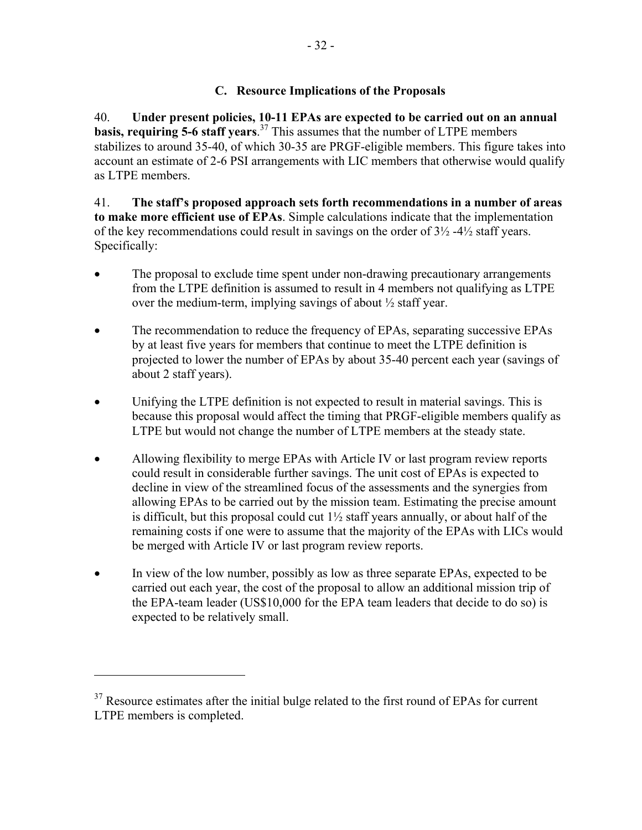# **C. Resource Implications of the Proposals**

40. **Under present policies, 10-11 EPAs are expected to be carried out on an annual basis, requiring 5-6 staff years**. 37 This assumes that the number of LTPE members stabilizes to around 35-40, of which 30-35 are PRGF-eligible members. This figure takes into account an estimate of 2-6 PSI arrangements with LIC members that otherwise would qualify as LTPE members.

41. **The staff's proposed approach sets forth recommendations in a number of areas to make more efficient use of EPAs**. Simple calculations indicate that the implementation of the key recommendations could result in savings on the order of  $3\frac{1}{2}$  -4 $\frac{1}{2}$  staff years. Specifically:

- The proposal to exclude time spent under non-drawing precautionary arrangements from the LTPE definition is assumed to result in 4 members not qualifying as LTPE over the medium-term, implying savings of about ½ staff year.
- The recommendation to reduce the frequency of EPAs, separating successive EPAs by at least five years for members that continue to meet the LTPE definition is projected to lower the number of EPAs by about 35-40 percent each year (savings of about 2 staff years).
- Unifying the LTPE definition is not expected to result in material savings. This is because this proposal would affect the timing that PRGF-eligible members qualify as LTPE but would not change the number of LTPE members at the steady state.
- Allowing flexibility to merge EPAs with Article IV or last program review reports could result in considerable further savings. The unit cost of EPAs is expected to decline in view of the streamlined focus of the assessments and the synergies from allowing EPAs to be carried out by the mission team. Estimating the precise amount is difficult, but this proposal could cut  $1\frac{1}{2}$  staff years annually, or about half of the remaining costs if one were to assume that the majority of the EPAs with LICs would be merged with Article IV or last program review reports.
- In view of the low number, possibly as low as three separate EPAs, expected to be carried out each year, the cost of the proposal to allow an additional mission trip of the EPA-team leader (US\$10,000 for the EPA team leaders that decide to do so) is expected to be relatively small.

1

 $37$  Resource estimates after the initial bulge related to the first round of EPAs for current LTPE members is completed.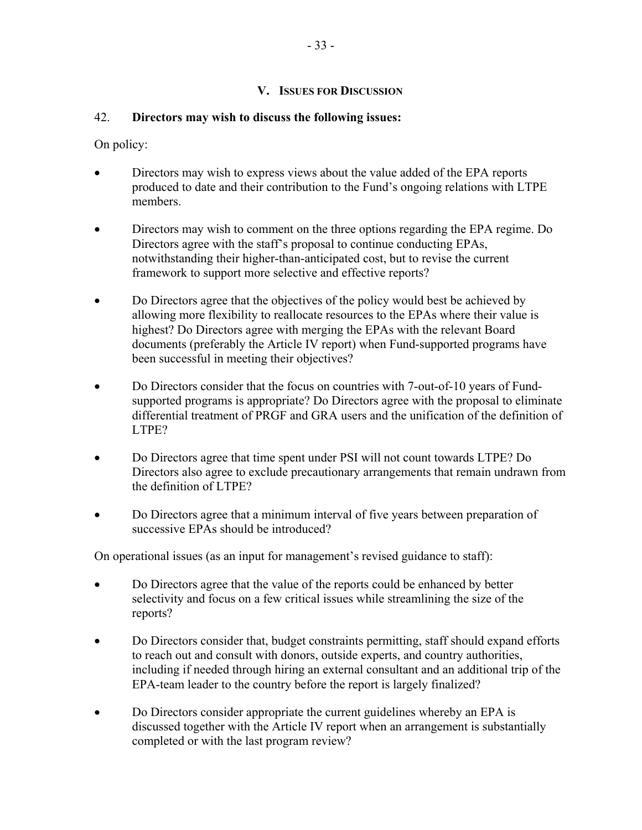# **V. ISSUES FOR DISCUSSION**

# 42. **Directors may wish to discuss the following issues:**

On policy:

- Directors may wish to express views about the value added of the EPA reports produced to date and their contribution to the Fund's ongoing relations with LTPE members.
- Directors may wish to comment on the three options regarding the EPA regime. Do Directors agree with the staff's proposal to continue conducting EPAs, notwithstanding their higher-than-anticipated cost, but to revise the current framework to support more selective and effective reports?
- Do Directors agree that the objectives of the policy would best be achieved by allowing more flexibility to reallocate resources to the EPAs where their value is highest? Do Directors agree with merging the EPAs with the relevant Board documents (preferably the Article IV report) when Fund-supported programs have been successful in meeting their objectives?
- Do Directors consider that the focus on countries with 7-out-of-10 years of Fundsupported programs is appropriate? Do Directors agree with the proposal to eliminate differential treatment of PRGF and GRA users and the unification of the definition of LTPE?
- Do Directors agree that time spent under PSI will not count towards LTPE? Do Directors also agree to exclude precautionary arrangements that remain undrawn from the definition of LTPE?
- Do Directors agree that a minimum interval of five years between preparation of successive EPAs should be introduced?

On operational issues (as an input for management's revised guidance to staff):

- Do Directors agree that the value of the reports could be enhanced by better selectivity and focus on a few critical issues while streamlining the size of the reports?
- Do Directors consider that, budget constraints permitting, staff should expand efforts to reach out and consult with donors, outside experts, and country authorities, including if needed through hiring an external consultant and an additional trip of the EPA-team leader to the country before the report is largely finalized?
- Do Directors consider appropriate the current guidelines whereby an EPA is discussed together with the Article IV report when an arrangement is substantially completed or with the last program review?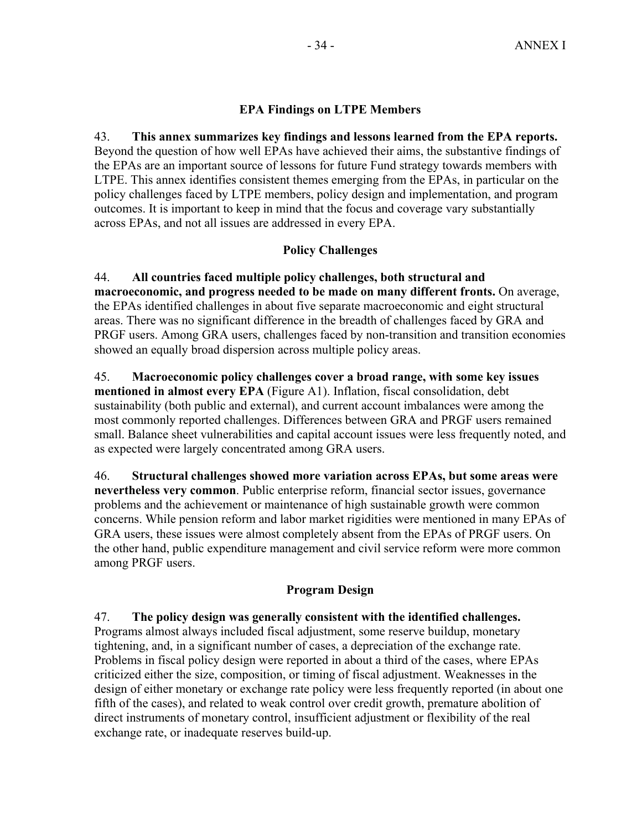# **EPA Findings on LTPE Members**

43. **This annex summarizes key findings and lessons learned from the EPA reports.** Beyond the question of how well EPAs have achieved their aims, the substantive findings of the EPAs are an important source of lessons for future Fund strategy towards members with LTPE. This annex identifies consistent themes emerging from the EPAs, in particular on the policy challenges faced by LTPE members, policy design and implementation, and program outcomes. It is important to keep in mind that the focus and coverage vary substantially across EPAs, and not all issues are addressed in every EPA.

# **Policy Challenges**

44. **All countries faced multiple policy challenges, both structural and macroeconomic, and progress needed to be made on many different fronts.** On average, the EPAs identified challenges in about five separate macroeconomic and eight structural areas. There was no significant difference in the breadth of challenges faced by GRA and PRGF users. Among GRA users, challenges faced by non-transition and transition economies showed an equally broad dispersion across multiple policy areas.

45. **Macroeconomic policy challenges cover a broad range, with some key issues mentioned in almost every EPA** (Figure A1). Inflation, fiscal consolidation, debt sustainability (both public and external), and current account imbalances were among the most commonly reported challenges. Differences between GRA and PRGF users remained small. Balance sheet vulnerabilities and capital account issues were less frequently noted, and as expected were largely concentrated among GRA users.

46. **Structural challenges showed more variation across EPAs, but some areas were nevertheless very common**. Public enterprise reform, financial sector issues, governance problems and the achievement or maintenance of high sustainable growth were common concerns. While pension reform and labor market rigidities were mentioned in many EPAs of GRA users, these issues were almost completely absent from the EPAs of PRGF users. On the other hand, public expenditure management and civil service reform were more common among PRGF users.

# **Program Design**

47. **The policy design was generally consistent with the identified challenges.** Programs almost always included fiscal adjustment, some reserve buildup, monetary tightening, and, in a significant number of cases, a depreciation of the exchange rate. Problems in fiscal policy design were reported in about a third of the cases, where EPAs criticized either the size, composition, or timing of fiscal adjustment. Weaknesses in the design of either monetary or exchange rate policy were less frequently reported (in about one fifth of the cases), and related to weak control over credit growth, premature abolition of direct instruments of monetary control, insufficient adjustment or flexibility of the real exchange rate, or inadequate reserves build-up.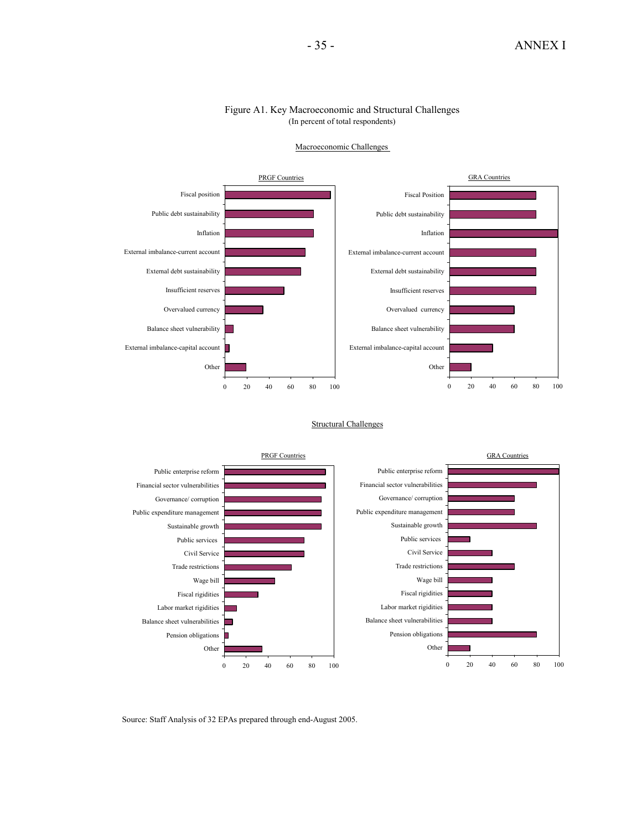#### Figure A1. Key Macroeconomic and Structural Challenges (In percent of total respondents)



#### Macroeconomic Challenges

Structural Challenges



Source: Staff Analysis of 32 EPAs prepared through end-August 2005.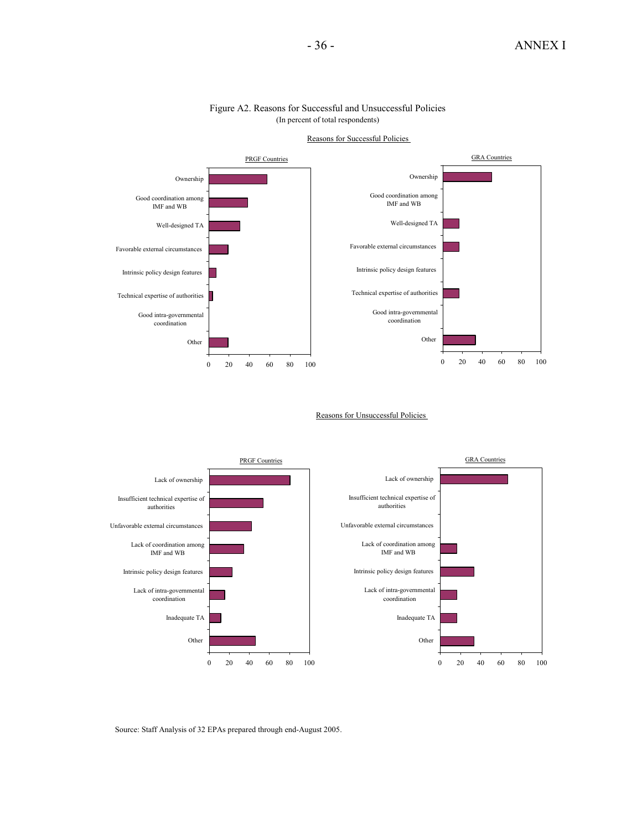

#### Figure A2. Reasons for Successful and Unsuccessful Policies (In percent of total respondents)

Reasons for Successful Policies

Reasons for Unsuccessful Policies



Source: Staff Analysis of 32 EPAs prepared through end-August 2005.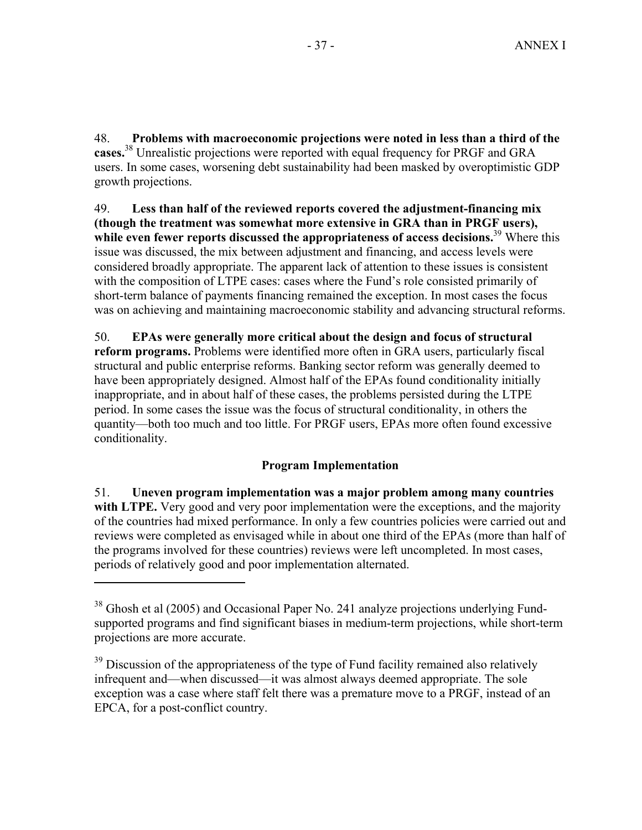48. **Problems with macroeconomic projections were noted in less than a third of the cases.**38 Unrealistic projections were reported with equal frequency for PRGF and GRA users. In some cases, worsening debt sustainability had been masked by overoptimistic GDP growth projections.

49. **Less than half of the reviewed reports covered the adjustment-financing mix (though the treatment was somewhat more extensive in GRA than in PRGF users),**  while even fewer reports discussed the appropriateness of access decisions.<sup>39</sup> Where this issue was discussed, the mix between adjustment and financing, and access levels were considered broadly appropriate. The apparent lack of attention to these issues is consistent with the composition of LTPE cases: cases where the Fund's role consisted primarily of short-term balance of payments financing remained the exception. In most cases the focus was on achieving and maintaining macroeconomic stability and advancing structural reforms.

50. **EPAs were generally more critical about the design and focus of structural reform programs.** Problems were identified more often in GRA users, particularly fiscal structural and public enterprise reforms. Banking sector reform was generally deemed to have been appropriately designed. Almost half of the EPAs found conditionality initially inappropriate, and in about half of these cases, the problems persisted during the LTPE period. In some cases the issue was the focus of structural conditionality, in others the quantity—both too much and too little. For PRGF users, EPAs more often found excessive conditionality.

# **Program Implementation**

51. **Uneven program implementation was a major problem among many countries**  with LTPE. Very good and very poor implementation were the exceptions, and the majority of the countries had mixed performance. In only a few countries policies were carried out and reviews were completed as envisaged while in about one third of the EPAs (more than half of the programs involved for these countries) reviews were left uncompleted. In most cases, periods of relatively good and poor implementation alternated.

<sup>&</sup>lt;sup>38</sup> Ghosh et al (2005) and Occasional Paper No. 241 analyze projections underlying Fundsupported programs and find significant biases in medium-term projections, while short-term projections are more accurate.

 $39$  Discussion of the appropriateness of the type of Fund facility remained also relatively infrequent and—when discussed—it was almost always deemed appropriate. The sole exception was a case where staff felt there was a premature move to a PRGF, instead of an EPCA, for a post-conflict country.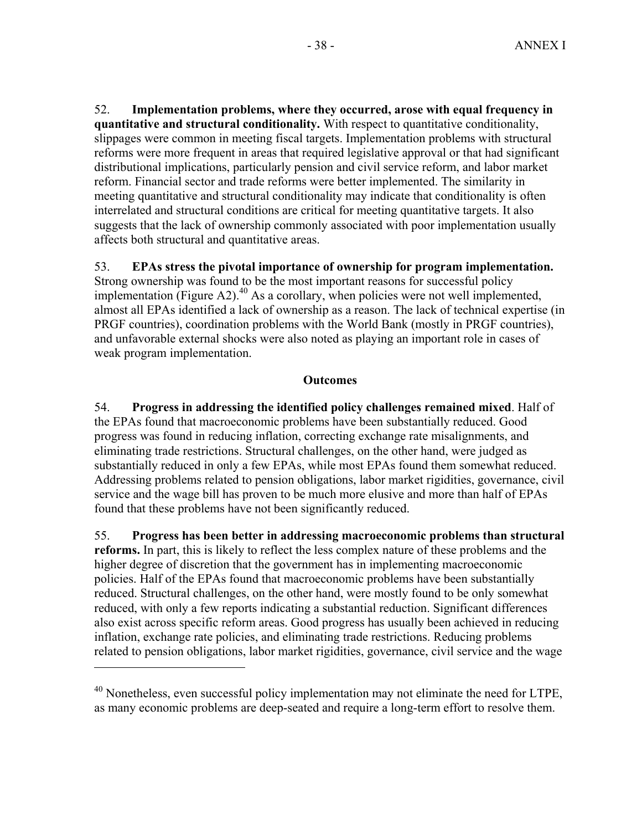52. **Implementation problems, where they occurred, arose with equal frequency in quantitative and structural conditionality.** With respect to quantitative conditionality, slippages were common in meeting fiscal targets. Implementation problems with structural reforms were more frequent in areas that required legislative approval or that had significant distributional implications, particularly pension and civil service reform, and labor market reform. Financial sector and trade reforms were better implemented. The similarity in meeting quantitative and structural conditionality may indicate that conditionality is often interrelated and structural conditions are critical for meeting quantitative targets. It also suggests that the lack of ownership commonly associated with poor implementation usually affects both structural and quantitative areas.

#### 53. **EPAs stress the pivotal importance of ownership for program implementation.**

Strong ownership was found to be the most important reasons for successful policy implementation (Figure A2). $^{40}$  As a corollary, when policies were not well implemented, almost all EPAs identified a lack of ownership as a reason. The lack of technical expertise (in PRGF countries), coordination problems with the World Bank (mostly in PRGF countries), and unfavorable external shocks were also noted as playing an important role in cases of weak program implementation.

#### **Outcomes**

54. **Progress in addressing the identified policy challenges remained mixed**. Half of the EPAs found that macroeconomic problems have been substantially reduced. Good progress was found in reducing inflation, correcting exchange rate misalignments, and eliminating trade restrictions. Structural challenges, on the other hand, were judged as substantially reduced in only a few EPAs, while most EPAs found them somewhat reduced. Addressing problems related to pension obligations, labor market rigidities, governance, civil service and the wage bill has proven to be much more elusive and more than half of EPAs found that these problems have not been significantly reduced.

55. **Progress has been better in addressing macroeconomic problems than structural reforms.** In part, this is likely to reflect the less complex nature of these problems and the higher degree of discretion that the government has in implementing macroeconomic policies. Half of the EPAs found that macroeconomic problems have been substantially reduced. Structural challenges, on the other hand, were mostly found to be only somewhat reduced, with only a few reports indicating a substantial reduction. Significant differences also exist across specific reform areas. Good progress has usually been achieved in reducing inflation, exchange rate policies, and eliminating trade restrictions. Reducing problems related to pension obligations, labor market rigidities, governance, civil service and the wage

<sup>&</sup>lt;sup>40</sup> Nonetheless, even successful policy implementation may not eliminate the need for LTPE, as many economic problems are deep-seated and require a long-term effort to resolve them.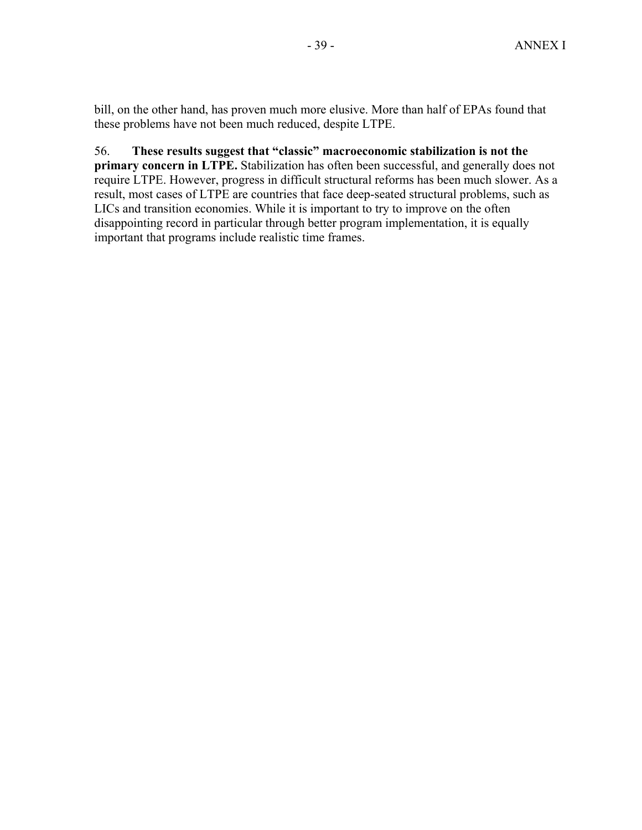bill, on the other hand, has proven much more elusive. More than half of EPAs found that these problems have not been much reduced, despite LTPE.

# 56. **These results suggest that "classic" macroeconomic stabilization is not the**

**primary concern in LTPE.** Stabilization has often been successful, and generally does not require LTPE. However, progress in difficult structural reforms has been much slower. As a result, most cases of LTPE are countries that face deep-seated structural problems, such as LICs and transition economies. While it is important to try to improve on the often disappointing record in particular through better program implementation, it is equally important that programs include realistic time frames.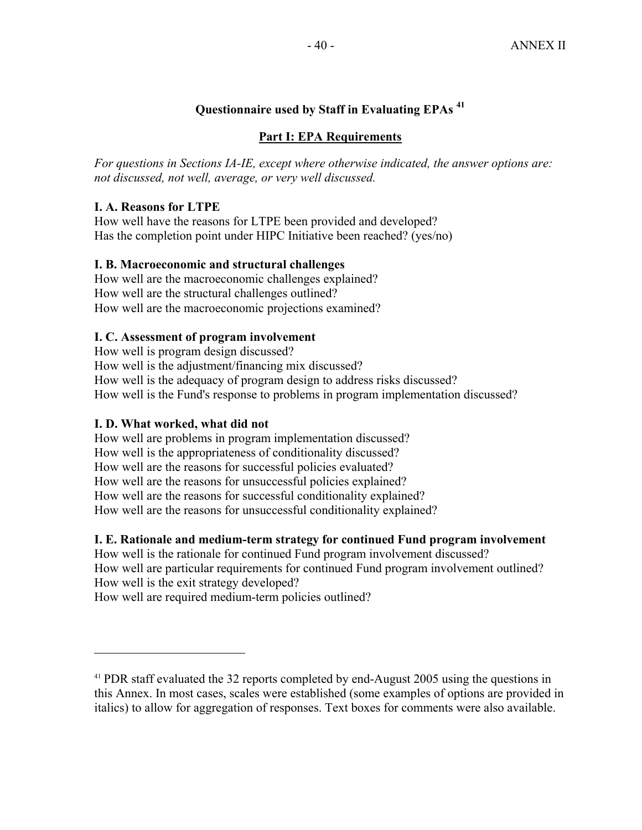# **Questionnaire used by Staff in Evaluating EPAs <sup>41</sup>**

#### **Part I: EPA Requirements**

*For questions in Sections IA-IE, except where otherwise indicated, the answer options are: not discussed, not well, average, or very well discussed.* 

# **I. A. Reasons for LTPE**

How well have the reasons for LTPE been provided and developed? Has the completion point under HIPC Initiative been reached? (yes/no)

#### **I. B. Macroeconomic and structural challenges**

How well are the macroeconomic challenges explained? How well are the structural challenges outlined? How well are the macroeconomic projections examined?

## **I. C. Assessment of program involvement**

How well is program design discussed? How well is the adjustment/financing mix discussed? How well is the adequacy of program design to address risks discussed? How well is the Fund's response to problems in program implementation discussed?

#### **I. D. What worked, what did not**

 $\overline{a}$ 

How well are problems in program implementation discussed? How well is the appropriateness of conditionality discussed? How well are the reasons for successful policies evaluated? How well are the reasons for unsuccessful policies explained? How well are the reasons for successful conditionality explained? How well are the reasons for unsuccessful conditionality explained?

#### **I. E. Rationale and medium-term strategy for continued Fund program involvement**

How well is the rationale for continued Fund program involvement discussed? How well are particular requirements for continued Fund program involvement outlined? How well is the exit strategy developed?

How well are required medium-term policies outlined?

<sup>&</sup>lt;sup>41</sup> PDR staff evaluated the 32 reports completed by end-August 2005 using the questions in this Annex. In most cases, scales were established (some examples of options are provided in italics) to allow for aggregation of responses. Text boxes for comments were also available.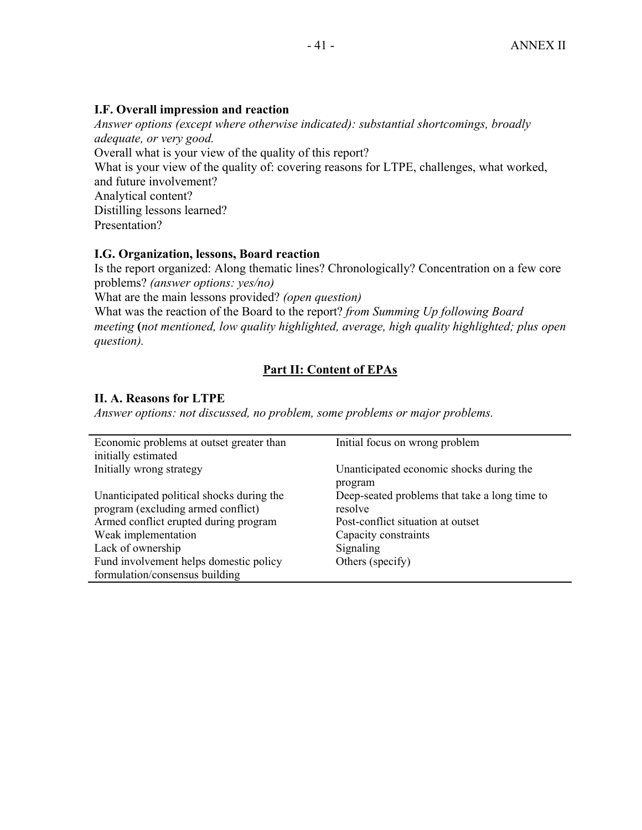# **I.F. Overall impression and reaction**

*Answer options (except where otherwise indicated): substantial shortcomings, broadly adequate, or very good.*  Overall what is your view of the quality of this report? What is your view of the quality of: covering reasons for LTPE, challenges, what worked, and future involvement? Analytical content? Distilling lessons learned? Presentation?

# **I.G. Organization, lessons, Board reaction**

Is the report organized: Along thematic lines? Chronologically? Concentration on a few core problems? *(answer options: yes/no)*

What are the main lessons provided? *(open question)*

What was the reaction of the Board to the report? *from Summing Up following Board meeting* **(***not mentioned, low quality highlighted, average, high quality highlighted; plus open question).*

# **Part II: Content of EPAs**

# **II. A. Reasons for LTPE**

*Answer options: not discussed, no problem, some problems or major problems.* 

| Economic problems at outset greater than<br>initially estimated                                                                                                                                                                                  | Initial focus on wrong problem                                                                                                                         |
|--------------------------------------------------------------------------------------------------------------------------------------------------------------------------------------------------------------------------------------------------|--------------------------------------------------------------------------------------------------------------------------------------------------------|
| Initially wrong strategy                                                                                                                                                                                                                         | Unanticipated economic shocks during the<br>program                                                                                                    |
| Unanticipated political shocks during the<br>program (excluding armed conflict)<br>Armed conflict erupted during program<br>Weak implementation<br>Lack of ownership<br>Fund involvement helps domestic policy<br>formulation/consensus building | Deep-seated problems that take a long time to<br>resolve<br>Post-conflict situation at outset<br>Capacity constraints<br>Signaling<br>Others (specify) |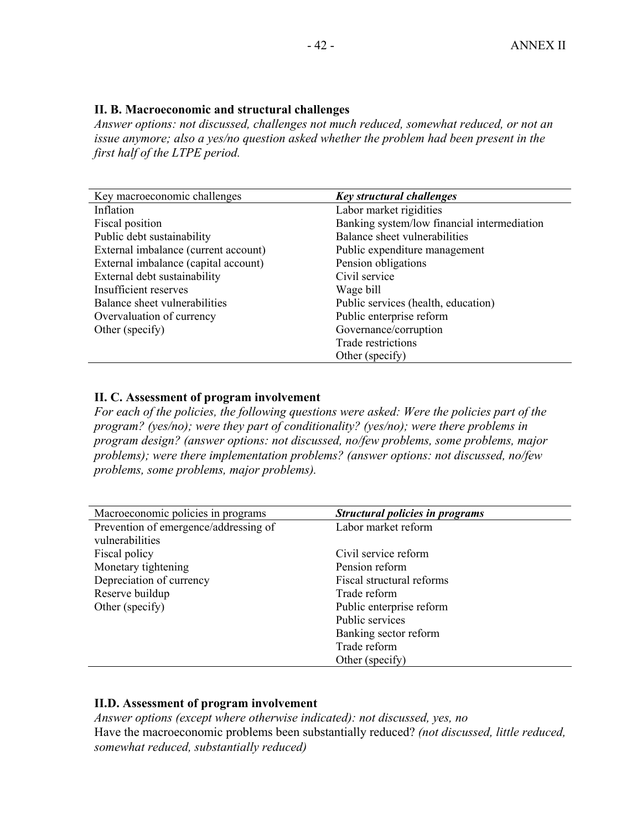## **II. B. Macroeconomic and structural challenges**

*Answer options: not discussed, challenges not much reduced, somewhat reduced, or not an issue anymore; also a yes/no question asked whether the problem had been present in the first half of the LTPE period.* 

| Key macroeconomic challenges         | <b>Key structural challenges</b>            |
|--------------------------------------|---------------------------------------------|
| Inflation                            | Labor market rigidities                     |
| Fiscal position                      | Banking system/low financial intermediation |
| Public debt sustainability           | Balance sheet vulnerabilities               |
| External imbalance (current account) | Public expenditure management               |
| External imbalance (capital account) | Pension obligations                         |
| External debt sustainability         | Civil service                               |
| Insufficient reserves                | Wage bill                                   |
| Balance sheet vulnerabilities        | Public services (health, education)         |
| Overvaluation of currency            | Public enterprise reform                    |
| Other (specify)                      | Governance/corruption                       |
|                                      | <b>Trade restrictions</b>                   |
|                                      | Other (specify)                             |

## **II. C. Assessment of program involvement**

*For each of the policies, the following questions were asked: Were the policies part of the program? (yes/no); were they part of conditionality? (yes/no); were there problems in program design? (answer options: not discussed, no/few problems, some problems, major problems); were there implementation problems? (answer options: not discussed, no/few problems, some problems, major problems).* 

| Macroeconomic policies in programs    | <b>Structural policies in programs</b> |
|---------------------------------------|----------------------------------------|
| Prevention of emergence/addressing of | Labor market reform                    |
| vulnerabilities                       |                                        |
| Fiscal policy                         | Civil service reform                   |
| Monetary tightening                   | Pension reform                         |
| Depreciation of currency              | Fiscal structural reforms              |
| Reserve buildup                       | Trade reform                           |
| Other (specify)                       | Public enterprise reform               |
|                                       | Public services                        |
|                                       | Banking sector reform                  |
|                                       | Trade reform                           |
|                                       | Other (specify)                        |

# **II.D. Assessment of program involvement**

*Answer options (except where otherwise indicated): not discussed, yes, no*  Have the macroeconomic problems been substantially reduced? *(not discussed, little reduced, somewhat reduced, substantially reduced)*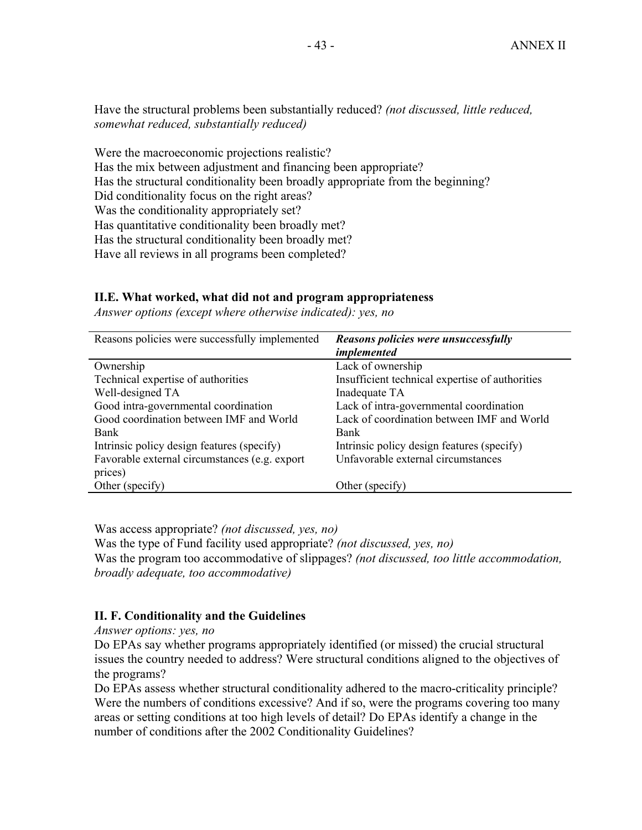Have the structural problems been substantially reduced? *(not discussed, little reduced, somewhat reduced, substantially reduced)* 

Were the macroeconomic projections realistic? Has the mix between adjustment and financing been appropriate? Has the structural conditionality been broadly appropriate from the beginning? Did conditionality focus on the right areas? Was the conditionality appropriately set? Has quantitative conditionality been broadly met? Has the structural conditionality been broadly met? Have all reviews in all programs been completed?

#### **II.E. What worked, what did not and program appropriateness**

*Answer options (except where otherwise indicated): yes, no* 

| Reasons policies were successfully implemented | Reasons policies were unsuccessfully<br>implemented |
|------------------------------------------------|-----------------------------------------------------|
| Ownership                                      | Lack of ownership                                   |
| Technical expertise of authorities             | Insufficient technical expertise of authorities     |
| Well-designed TA                               | Inadequate TA                                       |
| Good intra-governmental coordination           | Lack of intra-governmental coordination             |
| Good coordination between IMF and World        | Lack of coordination between IMF and World          |
| Bank                                           | Bank                                                |
| Intrinsic policy design features (specify)     | Intrinsic policy design features (specify)          |
| Favorable external circumstances (e.g. export  | Unfavorable external circumstances                  |
| prices)                                        |                                                     |
| Other (specify)                                | Other (specify)                                     |

Was access appropriate? *(not discussed, yes, no)*

Was the type of Fund facility used appropriate? *(not discussed, yes, no)* Was the program too accommodative of slippages? *(not discussed, too little accommodation, broadly adequate, too accommodative)* 

#### **II. F. Conditionality and the Guidelines**

*Answer options: yes, no*

Do EPAs say whether programs appropriately identified (or missed) the crucial structural issues the country needed to address? Were structural conditions aligned to the objectives of the programs?

Do EPAs assess whether structural conditionality adhered to the macro-criticality principle? Were the numbers of conditions excessive? And if so, were the programs covering too many areas or setting conditions at too high levels of detail? Do EPAs identify a change in the number of conditions after the 2002 Conditionality Guidelines?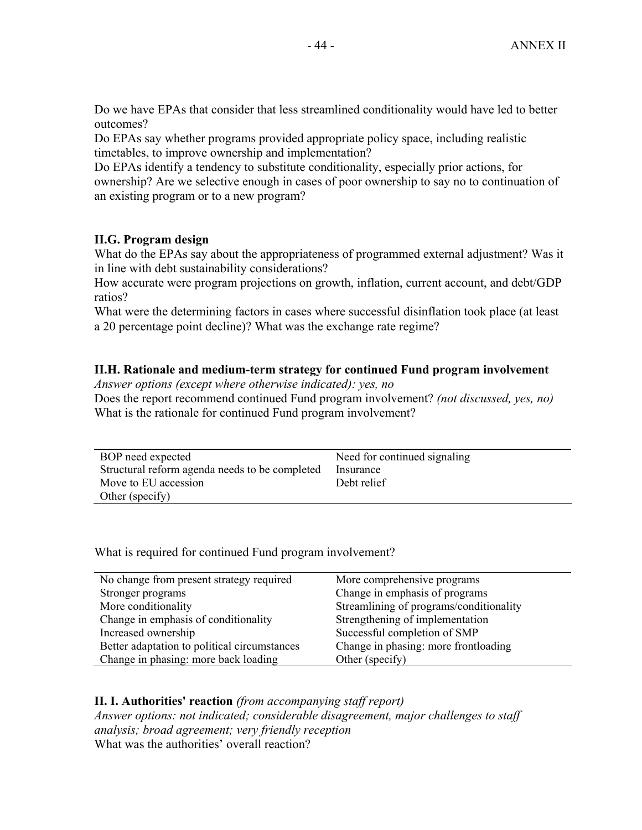Do we have EPAs that consider that less streamlined conditionality would have led to better outcomes?

Do EPAs say whether programs provided appropriate policy space, including realistic timetables, to improve ownership and implementation?

Do EPAs identify a tendency to substitute conditionality, especially prior actions, for ownership? Are we selective enough in cases of poor ownership to say no to continuation of an existing program or to a new program?

# **II.G. Program design**

What do the EPAs say about the appropriateness of programmed external adjustment? Was it in line with debt sustainability considerations?

How accurate were program projections on growth, inflation, current account, and debt/GDP ratios?

What were the determining factors in cases where successful disinflation took place (at least a 20 percentage point decline)? What was the exchange rate regime?

# **II.H. Rationale and medium-term strategy for continued Fund program involvement**

*Answer options (except where otherwise indicated): yes, no* 

Does the report recommend continued Fund program involvement? *(not discussed, yes, no)* What is the rationale for continued Fund program involvement?

| BOP need expected<br>Structural reform agenda needs to be completed | Need for continued signaling<br>Insurance |
|---------------------------------------------------------------------|-------------------------------------------|
| Move to EU accession                                                | Debt relief                               |
| Other (specify)                                                     |                                           |

What is required for continued Fund program involvement?

| No change from present strategy required     | More comprehensive programs             |
|----------------------------------------------|-----------------------------------------|
| Stronger programs                            | Change in emphasis of programs          |
| More conditionality                          | Streamlining of programs/conditionality |
| Change in emphasis of conditionality         | Strengthening of implementation         |
| Increased ownership                          | Successful completion of SMP            |
| Better adaptation to political circumstances | Change in phasing: more frontloading    |
| Change in phasing: more back loading         | Other (specify)                         |

#### **II. I. Authorities' reaction** *(from accompanying staff report) Answer options: not indicated; considerable disagreement, major challenges to staff analysis; broad agreement; very friendly reception*  What was the authorities' overall reaction?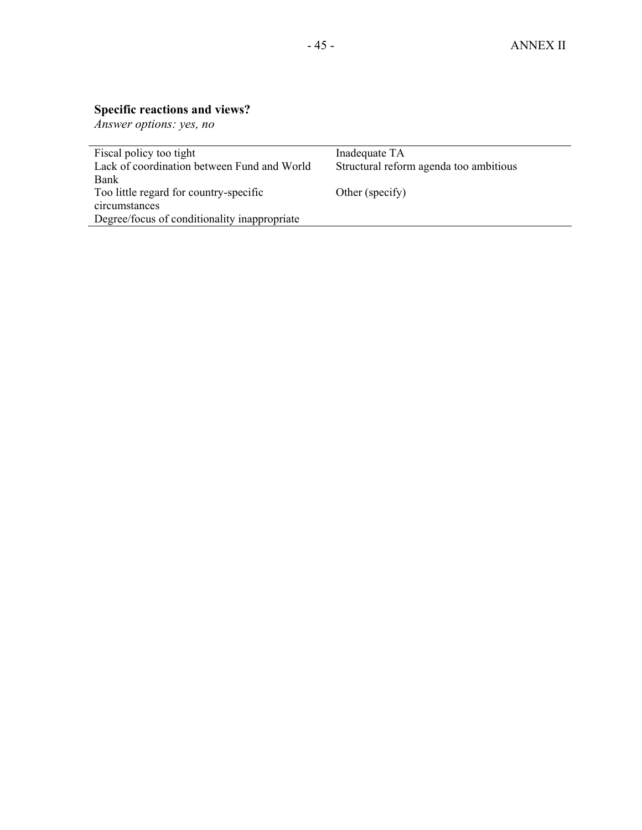# **Specific reactions and views?**

*Answer options: yes, no* 

| Fiscal policy too tight                      | Inadequate TA                          |
|----------------------------------------------|----------------------------------------|
| Lack of coordination between Fund and World  | Structural reform agenda too ambitious |
| Bank                                         |                                        |
| Too little regard for country-specific       | Other (specify)                        |
| circumstances                                |                                        |
| Degree/focus of conditionality inappropriate |                                        |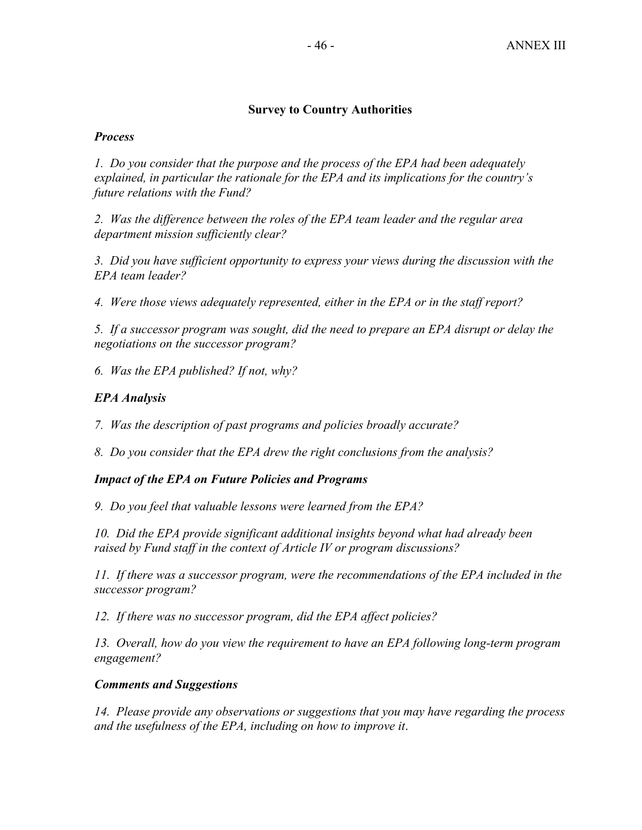## **Survey to Country Authorities**

## *Process*

*1. Do you consider that the purpose and the process of the EPA had been adequately explained, in particular the rationale for the EPA and its implications for the country's future relations with the Fund?* 

*2. Was the difference between the roles of the EPA team leader and the regular area department mission sufficiently clear?* 

*3. Did you have sufficient opportunity to express your views during the discussion with the EPA team leader?* 

*4. Were those views adequately represented, either in the EPA or in the staff report?* 

*5. If a successor program was sought, did the need to prepare an EPA disrupt or delay the negotiations on the successor program?* 

*6. Was the EPA published? If not, why?* 

# *EPA Analysis*

*7. Was the description of past programs and policies broadly accurate?* 

*8. Do you consider that the EPA drew the right conclusions from the analysis?* 

# *Impact of the EPA on Future Policies and Programs*

*9. Do you feel that valuable lessons were learned from the EPA?* 

*10. Did the EPA provide significant additional insights beyond what had already been raised by Fund staff in the context of Article IV or program discussions?* 

*11. If there was a successor program, were the recommendations of the EPA included in the successor program?* 

*12. If there was no successor program, did the EPA affect policies?* 

*13. Overall, how do you view the requirement to have an EPA following long-term program engagement?* 

# *Comments and Suggestions*

*14. Please provide any observations or suggestions that you may have regarding the process and the usefulness of the EPA, including on how to improve it*.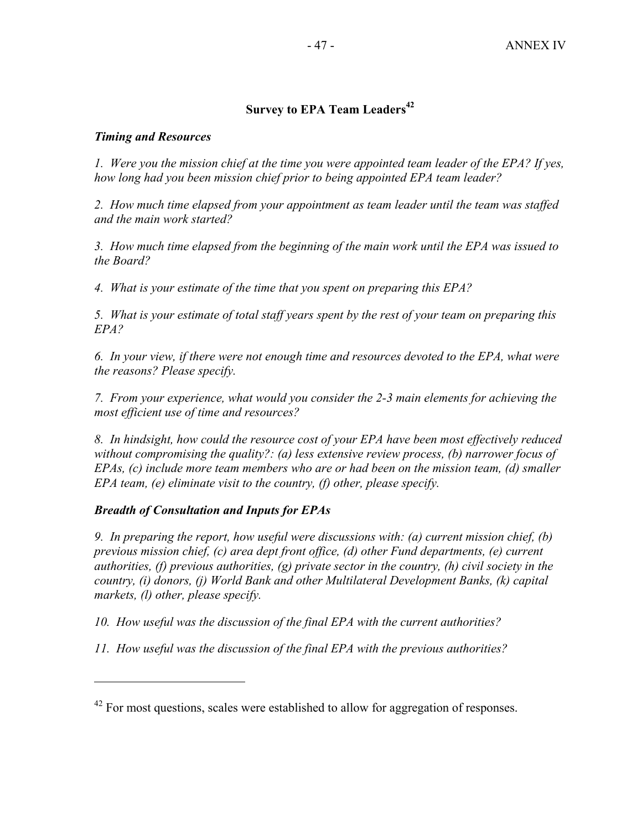# **Survey to EPA Team Leaders<sup>42</sup>**

#### *Timing and Resources*

*1. Were you the mission chief at the time you were appointed team leader of the EPA? If yes, how long had you been mission chief prior to being appointed EPA team leader?* 

*2. How much time elapsed from your appointment as team leader until the team was staffed and the main work started?* 

*3. How much time elapsed from the beginning of the main work until the EPA was issued to the Board?* 

*4. What is your estimate of the time that you spent on preparing this EPA?* 

*5. What is your estimate of total staff years spent by the rest of your team on preparing this EPA?* 

*6. In your view, if there were not enough time and resources devoted to the EPA, what were the reasons? Please specify.* 

*7. From your experience, what would you consider the 2-3 main elements for achieving the most efficient use of time and resources?* 

*8. In hindsight, how could the resource cost of your EPA have been most effectively reduced without compromising the quality?: (a) less extensive review process, (b) narrower focus of EPAs, (c) include more team members who are or had been on the mission team, (d) smaller EPA team, (e) eliminate visit to the country, (f) other, please specify.* 

# *Breadth of Consultation and Inputs for EPAs*

1

*9. In preparing the report, how useful were discussions with: (a) current mission chief, (b) previous mission chief, (c) area dept front office, (d) other Fund departments, (e) current authorities, (f) previous authorities, (g) private sector in the country, (h) civil society in the country, (i) donors, (j) World Bank and other Multilateral Development Banks, (k) capital markets, (l) other, please specify.* 

*10. How useful was the discussion of the final EPA with the current authorities?* 

*11. How useful was the discussion of the final EPA with the previous authorities?* 

 $42$  For most questions, scales were established to allow for aggregation of responses.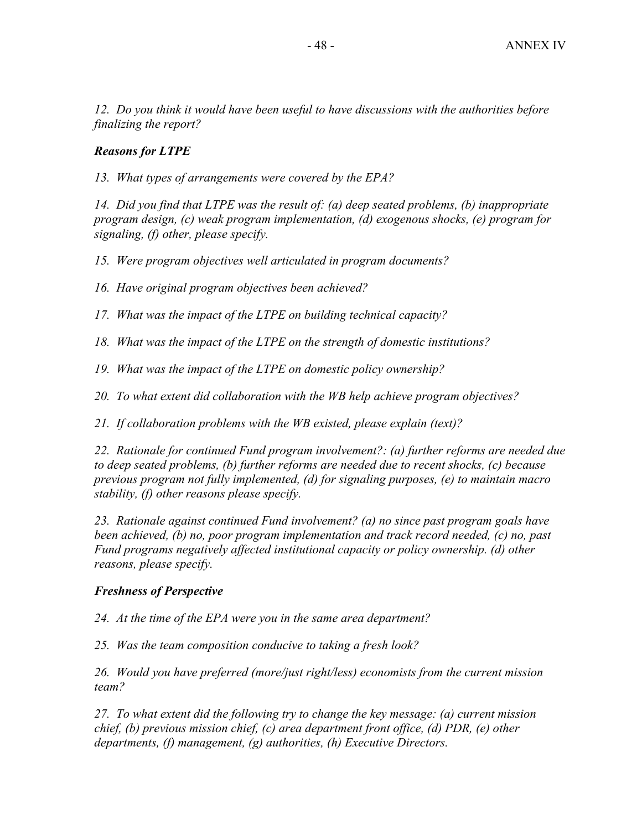*12. Do you think it would have been useful to have discussions with the authorities before finalizing the report?* 

# *Reasons for LTPE*

*13. What types of arrangements were covered by the EPA?* 

*14. Did you find that LTPE was the result of: (a) deep seated problems, (b) inappropriate program design, (c) weak program implementation, (d) exogenous shocks, (e) program for signaling, (f) other, please specify.* 

*15. Were program objectives well articulated in program documents?* 

*16. Have original program objectives been achieved?* 

*17. What was the impact of the LTPE on building technical capacity?* 

*18. What was the impact of the LTPE on the strength of domestic institutions?* 

*19. What was the impact of the LTPE on domestic policy ownership?* 

*20. To what extent did collaboration with the WB help achieve program objectives?* 

*21. If collaboration problems with the WB existed, please explain (text)?* 

*22. Rationale for continued Fund program involvement?: (a) further reforms are needed due to deep seated problems, (b) further reforms are needed due to recent shocks, (c) because previous program not fully implemented, (d) for signaling purposes, (e) to maintain macro stability, (f) other reasons please specify.* 

*23. Rationale against continued Fund involvement? (a) no since past program goals have been achieved, (b) no, poor program implementation and track record needed, (c) no, past Fund programs negatively affected institutional capacity or policy ownership. (d) other reasons, please specify.* 

#### *Freshness of Perspective*

*24. At the time of the EPA were you in the same area department?* 

*25. Was the team composition conducive to taking a fresh look?* 

*26. Would you have preferred (more/just right/less) economists from the current mission team?* 

*27. To what extent did the following try to change the key message: (a) current mission chief, (b) previous mission chief, (c) area department front office, (d) PDR, (e) other departments, (f) management, (g) authorities, (h) Executive Directors.*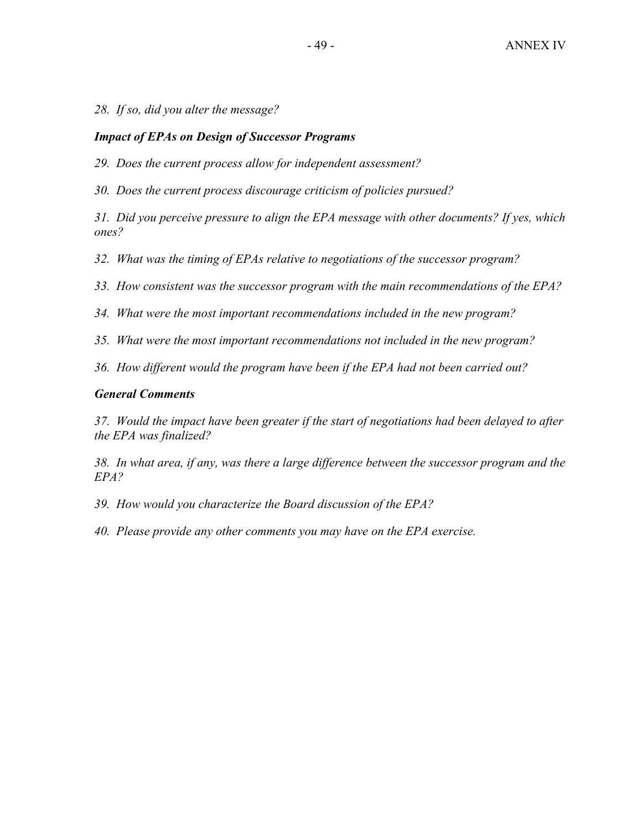*28. If so, did you alter the message?* 

#### *Impact of EPAs on Design of Successor Programs*

*29. Does the current process allow for independent assessment?* 

*30. Does the current process discourage criticism of policies pursued?* 

*31. Did you perceive pressure to align the EPA message with other documents? If yes, which ones?* 

*32. What was the timing of EPAs relative to negotiations of the successor program?* 

*33. How consistent was the successor program with the main recommendations of the EPA?* 

*34. What were the most important recommendations included in the new program?* 

*35. What were the most important recommendations not included in the new program?* 

*36. How different would the program have been if the EPA had not been carried out?* 

#### *General Comments*

*37. Would the impact have been greater if the start of negotiations had been delayed to after the EPA was finalized?* 

*38. In what area, if any, was there a large difference between the successor program and the EPA?* 

*39. How would you characterize the Board discussion of the EPA?* 

*40. Please provide any other comments you may have on the EPA exercise.*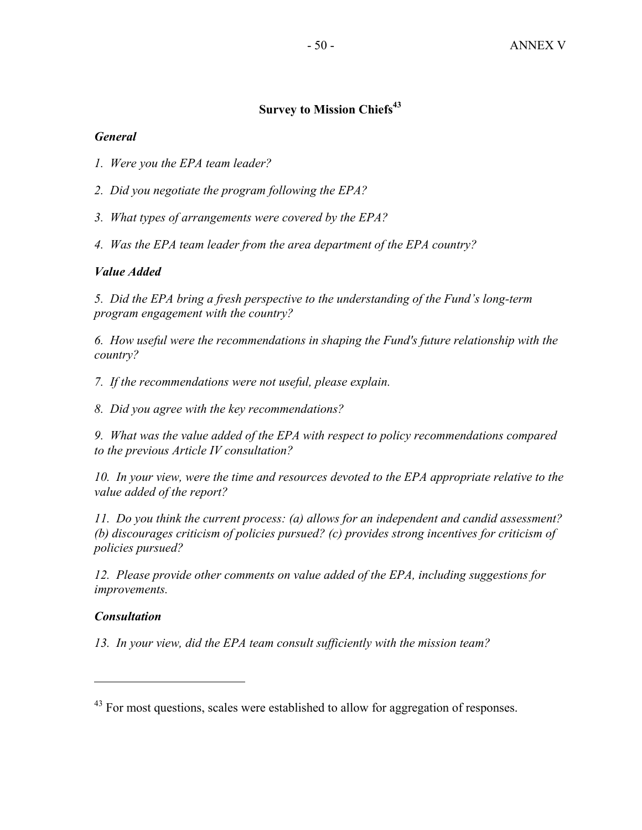# **Survey to Mission Chiefs**<sup>43</sup>

# *General*

- *1. Were you the EPA team leader?*
- *2. Did you negotiate the program following the EPA?*
- *3. What types of arrangements were covered by the EPA?*
- *4. Was the EPA team leader from the area department of the EPA country?*

# *Value Added*

*5. Did the EPA bring a fresh perspective to the understanding of the Fund's long-term program engagement with the country?* 

*6. How useful were the recommendations in shaping the Fund's future relationship with the country?* 

*7. If the recommendations were not useful, please explain.* 

*8. Did you agree with the key recommendations?* 

*9. What was the value added of the EPA with respect to policy recommendations compared to the previous Article IV consultation?* 

*10. In your view, were the time and resources devoted to the EPA appropriate relative to the value added of the report?* 

*11. Do you think the current process: (a) allows for an independent and candid assessment? (b) discourages criticism of policies pursued? (c) provides strong incentives for criticism of policies pursued?* 

*12. Please provide other comments on value added of the EPA, including suggestions for improvements.* 

# *Consultation*

 $\overline{a}$ 

*13. In your view, did the EPA team consult sufficiently with the mission team?* 

<sup>&</sup>lt;sup>43</sup> For most questions, scales were established to allow for aggregation of responses.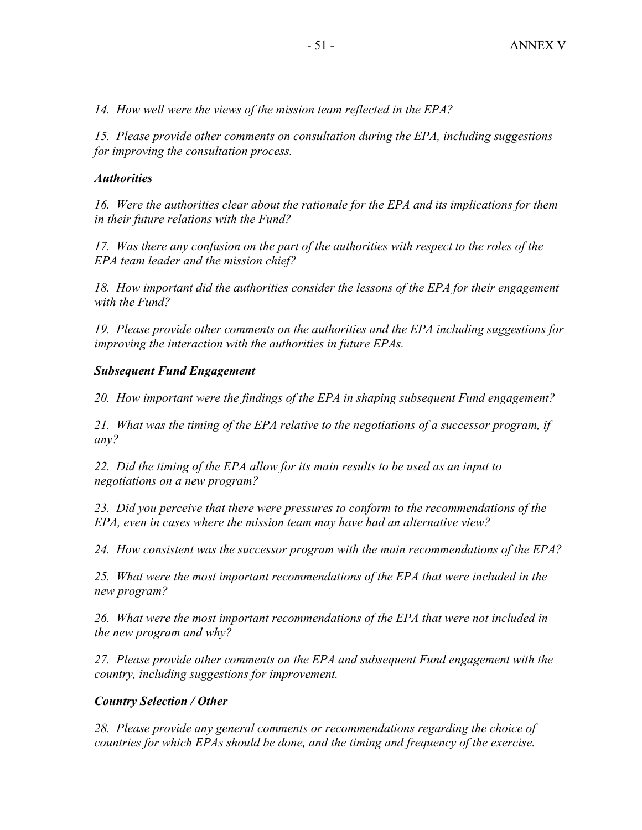*14. How well were the views of the mission team reflected in the EPA?* 

*15. Please provide other comments on consultation during the EPA, including suggestions for improving the consultation process.* 

## *Authorities*

*16. Were the authorities clear about the rationale for the EPA and its implications for them in their future relations with the Fund?* 

*17. Was there any confusion on the part of the authorities with respect to the roles of the EPA team leader and the mission chief?* 

18. How important did the authorities consider the lessons of the EPA for their engagement *with the Fund?* 

*19. Please provide other comments on the authorities and the EPA including suggestions for improving the interaction with the authorities in future EPAs.* 

## *Subsequent Fund Engagement*

*20. How important were the findings of the EPA in shaping subsequent Fund engagement?* 

*21. What was the timing of the EPA relative to the negotiations of a successor program, if any?* 

*22. Did the timing of the EPA allow for its main results to be used as an input to negotiations on a new program?* 

*23. Did you perceive that there were pressures to conform to the recommendations of the EPA, even in cases where the mission team may have had an alternative view?* 

*24. How consistent was the successor program with the main recommendations of the EPA?* 

*25. What were the most important recommendations of the EPA that were included in the new program?* 

*26. What were the most important recommendations of the EPA that were not included in the new program and why?* 

*27. Please provide other comments on the EPA and subsequent Fund engagement with the country, including suggestions for improvement.* 

# *Country Selection / Other*

28. Please provide any general comments or recommendations regarding the choice of *countries for which EPAs should be done, and the timing and frequency of the exercise.*